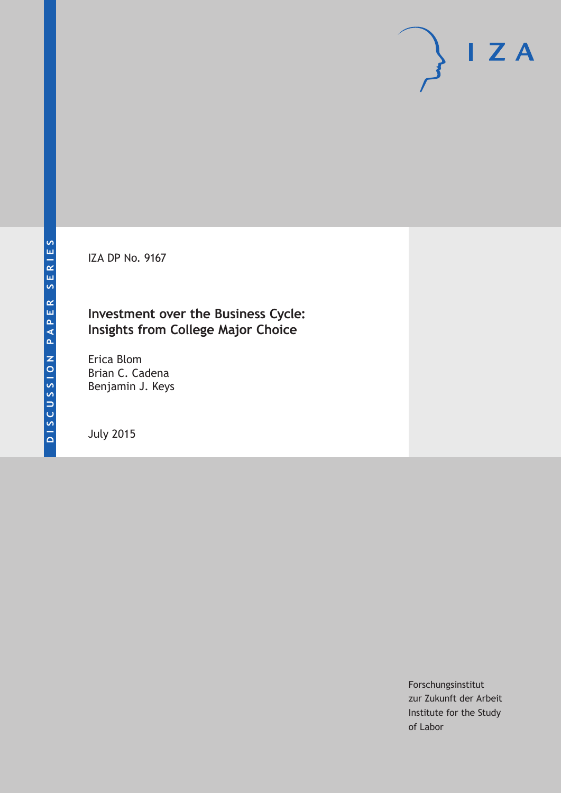IZA DP No. 9167

## **Investment over the Business Cycle: Insights from College Major Choice**

Erica Blom Brian C. Cadena Benjamin J. Keys

July 2015

Forschungsinstitut zur Zukunft der Arbeit Institute for the Study of Labor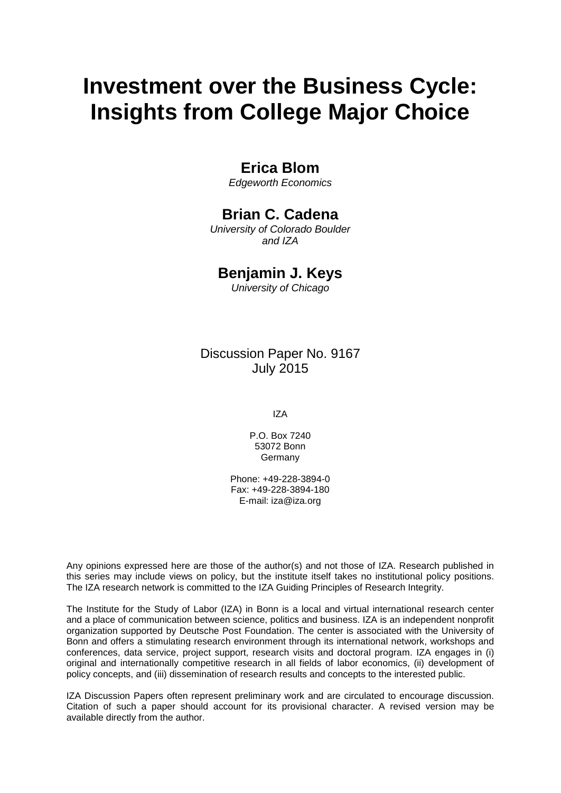# **Investment over the Business Cycle: Insights from College Major Choice**

# **Erica Blom**

*Edgeworth Economics*

# **Brian C. Cadena**

*University of Colorado Boulder and IZA*

### **Benjamin J. Keys**

*University of Chicago*

# Discussion Paper No. 9167 July 2015

IZA

P.O. Box 7240 53072 Bonn Germany

Phone: +49-228-3894-0 Fax: +49-228-3894-180 E-mail: iza@iza.org

Any opinions expressed here are those of the author(s) and not those of IZA. Research published in this series may include views on policy, but the institute itself takes no institutional policy positions. The IZA research network is committed to the IZA Guiding Principles of Research Integrity.

The Institute for the Study of Labor (IZA) in Bonn is a local and virtual international research center and a place of communication between science, politics and business. IZA is an independent nonprofit organization supported by Deutsche Post Foundation. The center is associated with the University of Bonn and offers a stimulating research environment through its international network, workshops and conferences, data service, project support, research visits and doctoral program. IZA engages in (i) original and internationally competitive research in all fields of labor economics, (ii) development of policy concepts, and (iii) dissemination of research results and concepts to the interested public.

IZA Discussion Papers often represent preliminary work and are circulated to encourage discussion. Citation of such a paper should account for its provisional character. A revised version may be available directly from the author.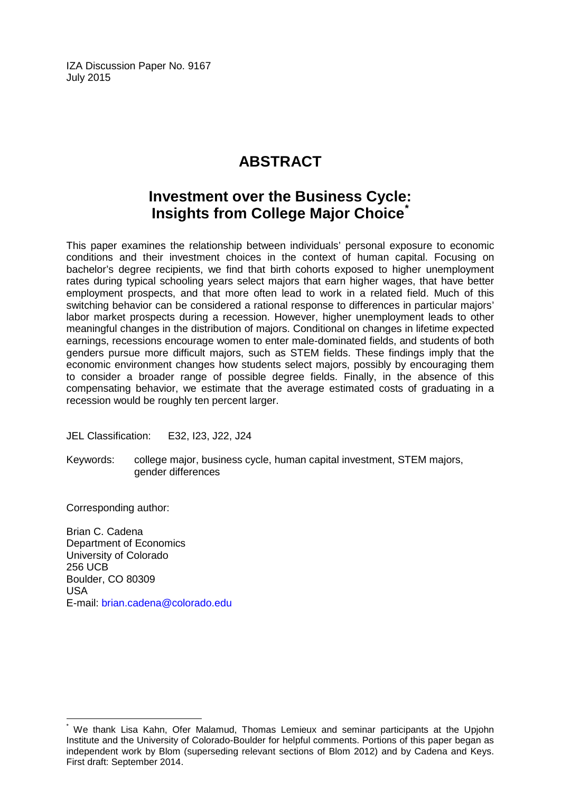IZA Discussion Paper No. 9167 July 2015

# **ABSTRACT**

# **Investment over the Business Cycle: Insights from College Major Choice[\\*](#page-2-0)**

This paper examines the relationship between individuals' personal exposure to economic conditions and their investment choices in the context of human capital. Focusing on bachelor's degree recipients, we find that birth cohorts exposed to higher unemployment rates during typical schooling years select majors that earn higher wages, that have better employment prospects, and that more often lead to work in a related field. Much of this switching behavior can be considered a rational response to differences in particular majors' labor market prospects during a recession. However, higher unemployment leads to other meaningful changes in the distribution of majors. Conditional on changes in lifetime expected earnings, recessions encourage women to enter male-dominated fields, and students of both genders pursue more difficult majors, such as STEM fields. These findings imply that the economic environment changes how students select majors, possibly by encouraging them to consider a broader range of possible degree fields. Finally, in the absence of this compensating behavior, we estimate that the average estimated costs of graduating in a recession would be roughly ten percent larger.

JEL Classification: E32, I23, J22, J24

Keywords: college major, business cycle, human capital investment, STEM majors, gender differences

Corresponding author:

Brian C. Cadena Department of Economics University of Colorado 256 UCB Boulder, CO 80309 USA E-mail: [brian.cadena@colorado.edu](mailto:brian.cadena@colorado.edu)

<span id="page-2-0"></span>We thank Lisa Kahn, Ofer Malamud, Thomas Lemieux and seminar participants at the Upjohn Institute and the University of Colorado-Boulder for helpful comments. Portions of this paper began as independent work by Blom (superseding relevant sections of Blom 2012) and by Cadena and Keys. First draft: September 2014.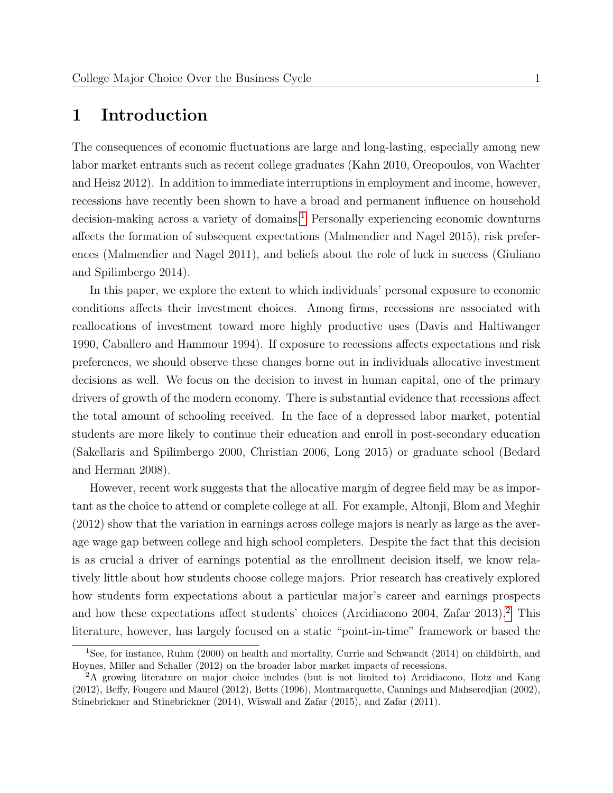# <span id="page-3-2"></span>1 Introduction

The consequences of economic fluctuations are large and long-lasting, especially among new labor market entrants such as recent college graduates (Kahn 2010, Oreopoulos, von Wachter and Heisz 2012). In addition to immediate interruptions in employment and income, however, recessions have recently been shown to have a broad and permanent influence on household decision-making across a variety of domains.<sup>[1](#page-3-0)</sup> Personally experiencing economic downturns affects the formation of subsequent expectations (Malmendier and Nagel 2015), risk preferences (Malmendier and Nagel 2011), and beliefs about the role of luck in success (Giuliano and Spilimbergo 2014).

In this paper, we explore the extent to which individuals' personal exposure to economic conditions affects their investment choices. Among firms, recessions are associated with reallocations of investment toward more highly productive uses (Davis and Haltiwanger 1990, Caballero and Hammour 1994). If exposure to recessions affects expectations and risk preferences, we should observe these changes borne out in individuals allocative investment decisions as well. We focus on the decision to invest in human capital, one of the primary drivers of growth of the modern economy. There is substantial evidence that recessions affect the total amount of schooling received. In the face of a depressed labor market, potential students are more likely to continue their education and enroll in post-secondary education (Sakellaris and Spilimbergo 2000, Christian 2006, Long 2015) or graduate school (Bedard and Herman 2008).

However, recent work suggests that the allocative margin of degree field may be as important as the choice to attend or complete college at all. For example, Altonji, Blom and Meghir (2012) show that the variation in earnings across college majors is nearly as large as the average wage gap between college and high school completers. Despite the fact that this decision is as crucial a driver of earnings potential as the enrollment decision itself, we know relatively little about how students choose college majors. Prior research has creatively explored how students form expectations about a particular major's career and earnings prospects and how these expectations affect students' choices (Arcidiacono [2](#page-3-1)004, Zafar 2013).<sup>2</sup> This literature, however, has largely focused on a static "point-in-time" framework or based the

<span id="page-3-0"></span><sup>1</sup>See, for instance, Ruhm (2000) on health and mortality, Currie and Schwandt (2014) on childbirth, and Hoynes, Miller and Schaller (2012) on the broader labor market impacts of recessions.

<span id="page-3-1"></span><sup>2</sup>A growing literature on major choice includes (but is not limited to) Arcidiacono, Hotz and Kang (2012), Beffy, Fougere and Maurel (2012), Betts (1996), Montmarquette, Cannings and Mahseredjian (2002), Stinebrickner and Stinebrickner (2014), Wiswall and Zafar (2015), and Zafar (2011).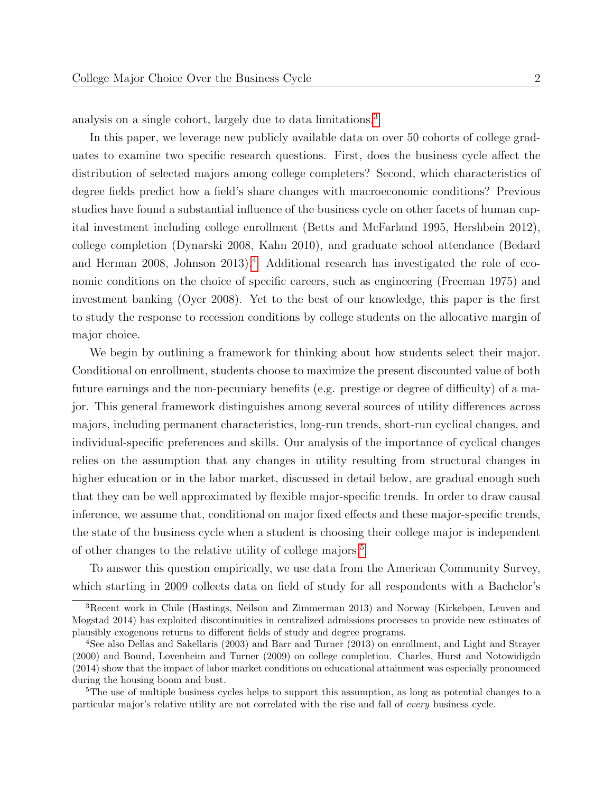analysis on a single cohort, largely due to data limitations.[3](#page-4-0)

In this paper, we leverage new publicly available data on over 50 cohorts of college graduates to examine two specific research questions. First, does the business cycle affect the distribution of selected majors among college completers? Second, which characteristics of degree fields predict how a field's share changes with macroeconomic conditions? Previous studies have found a substantial influence of the business cycle on other facets of human capital investment including college enrollment (Betts and McFarland 1995, Hershbein 2012), college completion (Dynarski 2008, Kahn 2010), and graduate school attendance (Bedard and Herman 2008, Johnson 2013).<sup>[4](#page-4-1)</sup> Additional research has investigated the role of economic conditions on the choice of specific careers, such as engineering (Freeman 1975) and investment banking (Oyer 2008). Yet to the best of our knowledge, this paper is the first to study the response to recession conditions by college students on the allocative margin of major choice.

We begin by outlining a framework for thinking about how students select their major. Conditional on enrollment, students choose to maximize the present discounted value of both future earnings and the non-pecuniary benefits (e.g. prestige or degree of difficulty) of a major. This general framework distinguishes among several sources of utility differences across majors, including permanent characteristics, long-run trends, short-run cyclical changes, and individual-specific preferences and skills. Our analysis of the importance of cyclical changes relies on the assumption that any changes in utility resulting from structural changes in higher education or in the labor market, discussed in detail below, are gradual enough such that they can be well approximated by flexible major-specific trends. In order to draw causal inference, we assume that, conditional on major fixed effects and these major-specific trends, the state of the business cycle when a student is choosing their college major is independent of other changes to the relative utility of college majors.<sup>[5](#page-4-2)</sup>

To answer this question empirically, we use data from the American Community Survey, which starting in 2009 collects data on field of study for all respondents with a Bachelor's

<span id="page-4-0"></span><sup>3</sup>Recent work in Chile (Hastings, Neilson and Zimmerman 2013) and Norway (Kirkebøen, Leuven and Mogstad 2014) has exploited discontinuities in centralized admissions processes to provide new estimates of plausibly exogenous returns to different fields of study and degree programs.

<span id="page-4-1"></span><sup>4</sup>See also Dellas and Sakellaris (2003) and Barr and Turner (2013) on enrollment, and Light and Strayer (2000) and Bound, Lovenheim and Turner (2009) on college completion. Charles, Hurst and Notowidigdo (2014) show that the impact of labor market conditions on educational attainment was especially pronounced during the housing boom and bust.

<span id="page-4-2"></span><sup>&</sup>lt;sup>5</sup>The use of multiple business cycles helps to support this assumption, as long as potential changes to a particular major's relative utility are not correlated with the rise and fall of every business cycle.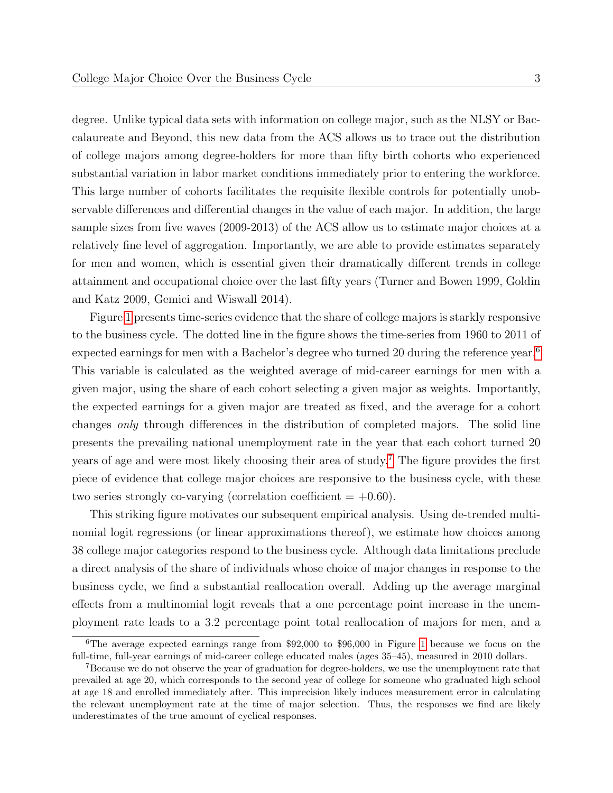degree. Unlike typical data sets with information on college major, such as the NLSY or Baccalaureate and Beyond, this new data from the ACS allows us to trace out the distribution of college majors among degree-holders for more than fifty birth cohorts who experienced substantial variation in labor market conditions immediately prior to entering the workforce. This large number of cohorts facilitates the requisite flexible controls for potentially unobservable differences and differential changes in the value of each major. In addition, the large sample sizes from five waves (2009-2013) of the ACS allow us to estimate major choices at a relatively fine level of aggregation. Importantly, we are able to provide estimates separately for men and women, which is essential given their dramatically different trends in college attainment and occupational choice over the last fifty years (Turner and Bowen 1999, Goldin and Katz 2009, Gemici and Wiswall 2014).

Figure [1](#page-33-0) presents time-series evidence that the share of college majors is starkly responsive to the business cycle. The dotted line in the figure shows the time-series from 1960 to 2011 of expected earnings for men with a Bachelor's degree who turned 20 during the reference year.<sup>[6](#page-5-0)</sup> This variable is calculated as the weighted average of mid-career earnings for men with a given major, using the share of each cohort selecting a given major as weights. Importantly, the expected earnings for a given major are treated as fixed, and the average for a cohort changes only through differences in the distribution of completed majors. The solid line presents the prevailing national unemployment rate in the year that each cohort turned 20 years of age and were most likely choosing their area of study.[7](#page-5-1) The figure provides the first piece of evidence that college major choices are responsive to the business cycle, with these two series strongly co-varying (correlation coefficient  $= +0.60$ ).

This striking figure motivates our subsequent empirical analysis. Using de-trended multinomial logit regressions (or linear approximations thereof), we estimate how choices among 38 college major categories respond to the business cycle. Although data limitations preclude a direct analysis of the share of individuals whose choice of major changes in response to the business cycle, we find a substantial reallocation overall. Adding up the average marginal effects from a multinomial logit reveals that a one percentage point increase in the unemployment rate leads to a 3.2 percentage point total reallocation of majors for men, and a

<span id="page-5-0"></span><sup>6</sup>The average expected earnings range from \$92,000 to \$96,000 in Figure [1](#page-33-0) because we focus on the full-time, full-year earnings of mid-career college educated males (ages 35–45), measured in 2010 dollars.

<span id="page-5-1"></span><sup>7</sup>Because we do not observe the year of graduation for degree-holders, we use the unemployment rate that prevailed at age 20, which corresponds to the second year of college for someone who graduated high school at age 18 and enrolled immediately after. This imprecision likely induces measurement error in calculating the relevant unemployment rate at the time of major selection. Thus, the responses we find are likely underestimates of the true amount of cyclical responses.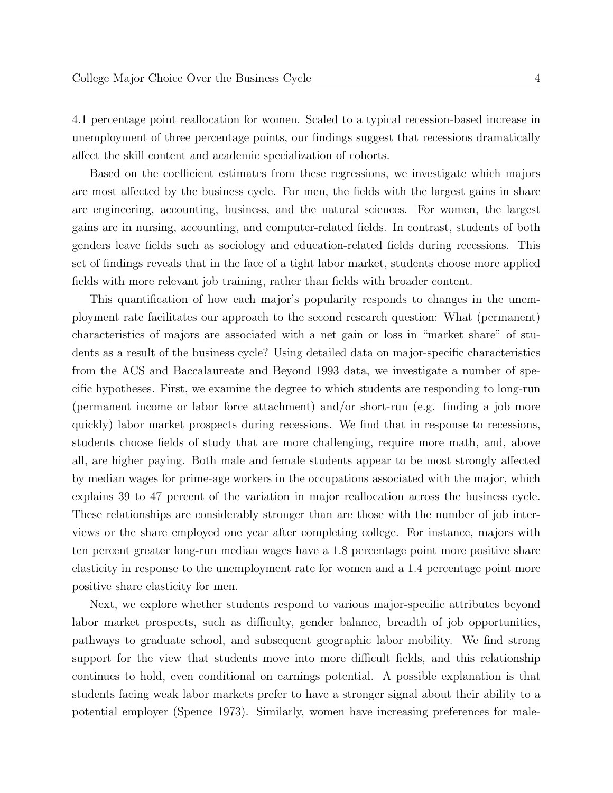4.1 percentage point reallocation for women. Scaled to a typical recession-based increase in unemployment of three percentage points, our findings suggest that recessions dramatically affect the skill content and academic specialization of cohorts.

Based on the coefficient estimates from these regressions, we investigate which majors are most affected by the business cycle. For men, the fields with the largest gains in share are engineering, accounting, business, and the natural sciences. For women, the largest gains are in nursing, accounting, and computer-related fields. In contrast, students of both genders leave fields such as sociology and education-related fields during recessions. This set of findings reveals that in the face of a tight labor market, students choose more applied fields with more relevant job training, rather than fields with broader content.

This quantification of how each major's popularity responds to changes in the unemployment rate facilitates our approach to the second research question: What (permanent) characteristics of majors are associated with a net gain or loss in "market share" of students as a result of the business cycle? Using detailed data on major-specific characteristics from the ACS and Baccalaureate and Beyond 1993 data, we investigate a number of specific hypotheses. First, we examine the degree to which students are responding to long-run (permanent income or labor force attachment) and/or short-run (e.g. finding a job more quickly) labor market prospects during recessions. We find that in response to recessions, students choose fields of study that are more challenging, require more math, and, above all, are higher paying. Both male and female students appear to be most strongly affected by median wages for prime-age workers in the occupations associated with the major, which explains 39 to 47 percent of the variation in major reallocation across the business cycle. These relationships are considerably stronger than are those with the number of job interviews or the share employed one year after completing college. For instance, majors with ten percent greater long-run median wages have a 1.8 percentage point more positive share elasticity in response to the unemployment rate for women and a 1.4 percentage point more positive share elasticity for men.

Next, we explore whether students respond to various major-specific attributes beyond labor market prospects, such as difficulty, gender balance, breadth of job opportunities, pathways to graduate school, and subsequent geographic labor mobility. We find strong support for the view that students move into more difficult fields, and this relationship continues to hold, even conditional on earnings potential. A possible explanation is that students facing weak labor markets prefer to have a stronger signal about their ability to a potential employer (Spence 1973). Similarly, women have increasing preferences for male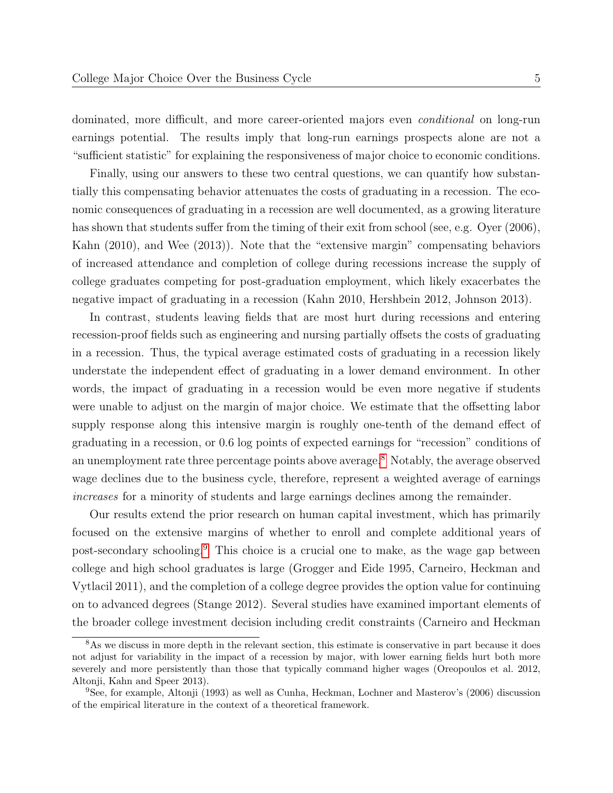dominated, more difficult, and more career-oriented majors even conditional on long-run earnings potential. The results imply that long-run earnings prospects alone are not a "sufficient statistic" for explaining the responsiveness of major choice to economic conditions.

Finally, using our answers to these two central questions, we can quantify how substantially this compensating behavior attenuates the costs of graduating in a recession. The economic consequences of graduating in a recession are well documented, as a growing literature has shown that students suffer from the timing of their exit from school (see, e.g. Oyer (2006), Kahn (2010), and Wee (2013)). Note that the "extensive margin" compensating behaviors of increased attendance and completion of college during recessions increase the supply of college graduates competing for post-graduation employment, which likely exacerbates the negative impact of graduating in a recession (Kahn 2010, Hershbein 2012, Johnson 2013).

In contrast, students leaving fields that are most hurt during recessions and entering recession-proof fields such as engineering and nursing partially offsets the costs of graduating in a recession. Thus, the typical average estimated costs of graduating in a recession likely understate the independent effect of graduating in a lower demand environment. In other words, the impact of graduating in a recession would be even more negative if students were unable to adjust on the margin of major choice. We estimate that the offsetting labor supply response along this intensive margin is roughly one-tenth of the demand effect of graduating in a recession, or 0.6 log points of expected earnings for "recession" conditions of an unemployment rate three percentage points above average.[8](#page-7-0) Notably, the average observed wage declines due to the business cycle, therefore, represent a weighted average of earnings increases for a minority of students and large earnings declines among the remainder.

Our results extend the prior research on human capital investment, which has primarily focused on the extensive margins of whether to enroll and complete additional years of post-secondary schooling.[9](#page-7-1) This choice is a crucial one to make, as the wage gap between college and high school graduates is large (Grogger and Eide 1995, Carneiro, Heckman and Vytlacil 2011), and the completion of a college degree provides the option value for continuing on to advanced degrees (Stange 2012). Several studies have examined important elements of the broader college investment decision including credit constraints (Carneiro and Heckman

<span id="page-7-0"></span><sup>&</sup>lt;sup>8</sup>As we discuss in more depth in the relevant section, this estimate is conservative in part because it does not adjust for variability in the impact of a recession by major, with lower earning fields hurt both more severely and more persistently than those that typically command higher wages (Oreopoulos et al. 2012, Altonji, Kahn and Speer 2013).

<span id="page-7-1"></span><sup>9</sup>See, for example, Altonji (1993) as well as Cunha, Heckman, Lochner and Masterov's (2006) discussion of the empirical literature in the context of a theoretical framework.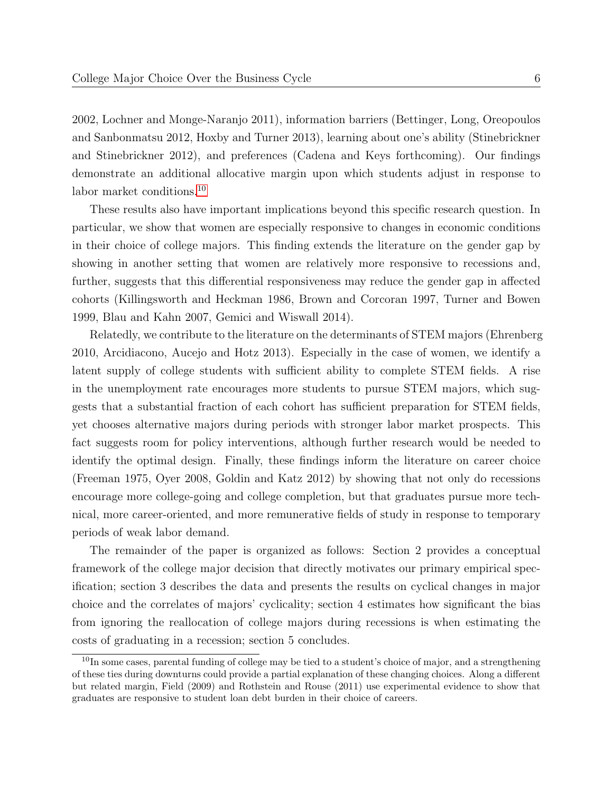2002, Lochner and Monge-Naranjo 2011), information barriers (Bettinger, Long, Oreopoulos and Sanbonmatsu 2012, Hoxby and Turner 2013), learning about one's ability (Stinebrickner and Stinebrickner 2012), and preferences (Cadena and Keys forthcoming). Our findings demonstrate an additional allocative margin upon which students adjust in response to labor market conditions.[10](#page-8-0)

These results also have important implications beyond this specific research question. In particular, we show that women are especially responsive to changes in economic conditions in their choice of college majors. This finding extends the literature on the gender gap by showing in another setting that women are relatively more responsive to recessions and, further, suggests that this differential responsiveness may reduce the gender gap in affected cohorts (Killingsworth and Heckman 1986, Brown and Corcoran 1997, Turner and Bowen 1999, Blau and Kahn 2007, Gemici and Wiswall 2014).

Relatedly, we contribute to the literature on the determinants of STEM majors (Ehrenberg 2010, Arcidiacono, Aucejo and Hotz 2013). Especially in the case of women, we identify a latent supply of college students with sufficient ability to complete STEM fields. A rise in the unemployment rate encourages more students to pursue STEM majors, which suggests that a substantial fraction of each cohort has sufficient preparation for STEM fields, yet chooses alternative majors during periods with stronger labor market prospects. This fact suggests room for policy interventions, although further research would be needed to identify the optimal design. Finally, these findings inform the literature on career choice (Freeman 1975, Oyer 2008, Goldin and Katz 2012) by showing that not only do recessions encourage more college-going and college completion, but that graduates pursue more technical, more career-oriented, and more remunerative fields of study in response to temporary periods of weak labor demand.

The remainder of the paper is organized as follows: Section 2 provides a conceptual framework of the college major decision that directly motivates our primary empirical specification; section 3 describes the data and presents the results on cyclical changes in major choice and the correlates of majors' cyclicality; section 4 estimates how significant the bias from ignoring the reallocation of college majors during recessions is when estimating the costs of graduating in a recession; section 5 concludes.

<span id="page-8-0"></span> $10$ In some cases, parental funding of college may be tied to a student's choice of major, and a strengthening of these ties during downturns could provide a partial explanation of these changing choices. Along a different but related margin, Field (2009) and Rothstein and Rouse (2011) use experimental evidence to show that graduates are responsive to student loan debt burden in their choice of careers.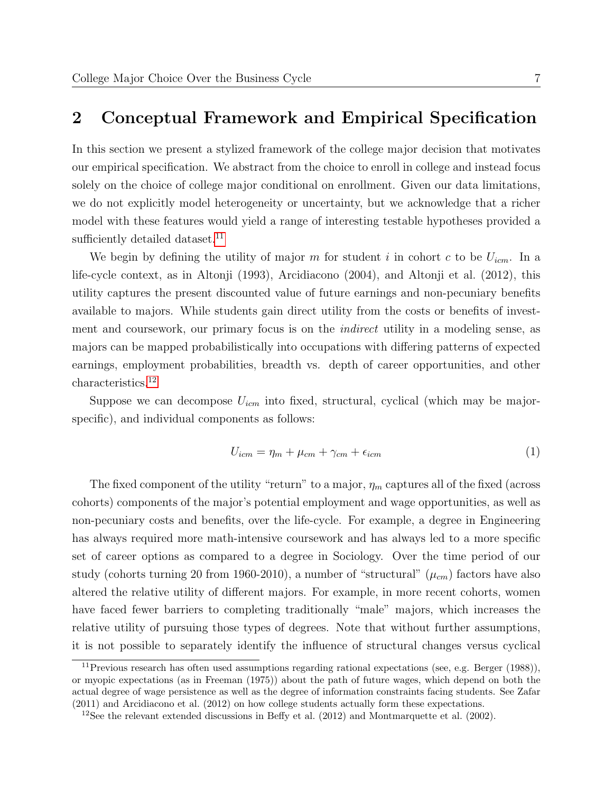# 2 Conceptual Framework and Empirical Specification

In this section we present a stylized framework of the college major decision that motivates our empirical specification. We abstract from the choice to enroll in college and instead focus solely on the choice of college major conditional on enrollment. Given our data limitations, we do not explicitly model heterogeneity or uncertainty, but we acknowledge that a richer model with these features would yield a range of interesting testable hypotheses provided a sufficiently detailed dataset.<sup>[11](#page-9-0)</sup>

We begin by defining the utility of major m for student i in cohort c to be  $U_{icm}$ . In a life-cycle context, as in Altonji (1993), Arcidiacono (2004), and Altonji et al. (2012), this utility captures the present discounted value of future earnings and non-pecuniary benefits available to majors. While students gain direct utility from the costs or benefits of investment and coursework, our primary focus is on the *indirect* utility in a modeling sense, as majors can be mapped probabilistically into occupations with differing patterns of expected earnings, employment probabilities, breadth vs. depth of career opportunities, and other characteristics.[12](#page-9-1)

Suppose we can decompose  $U_{icm}$  into fixed, structural, cyclical (which may be majorspecific), and individual components as follows:

$$
U_{icm} = \eta_m + \mu_{cm} + \gamma_{cm} + \epsilon_{icm} \tag{1}
$$

The fixed component of the utility "return" to a major,  $\eta_m$  captures all of the fixed (across cohorts) components of the major's potential employment and wage opportunities, as well as non-pecuniary costs and benefits, over the life-cycle. For example, a degree in Engineering has always required more math-intensive coursework and has always led to a more specific set of career options as compared to a degree in Sociology. Over the time period of our study (cohorts turning 20 from 1960-2010), a number of "structural"  $(\mu_{cm})$  factors have also altered the relative utility of different majors. For example, in more recent cohorts, women have faced fewer barriers to completing traditionally "male" majors, which increases the relative utility of pursuing those types of degrees. Note that without further assumptions, it is not possible to separately identify the influence of structural changes versus cyclical

<span id="page-9-0"></span><sup>11</sup>Previous research has often used assumptions regarding rational expectations (see, e.g. Berger (1988)), or myopic expectations (as in Freeman (1975)) about the path of future wages, which depend on both the actual degree of wage persistence as well as the degree of information constraints facing students. See Zafar (2011) and Arcidiacono et al. (2012) on how college students actually form these expectations.

<span id="page-9-1"></span><sup>&</sup>lt;sup>12</sup>See the relevant extended discussions in Beffy et al.  $(2012)$  and Montmarquette et al.  $(2002)$ .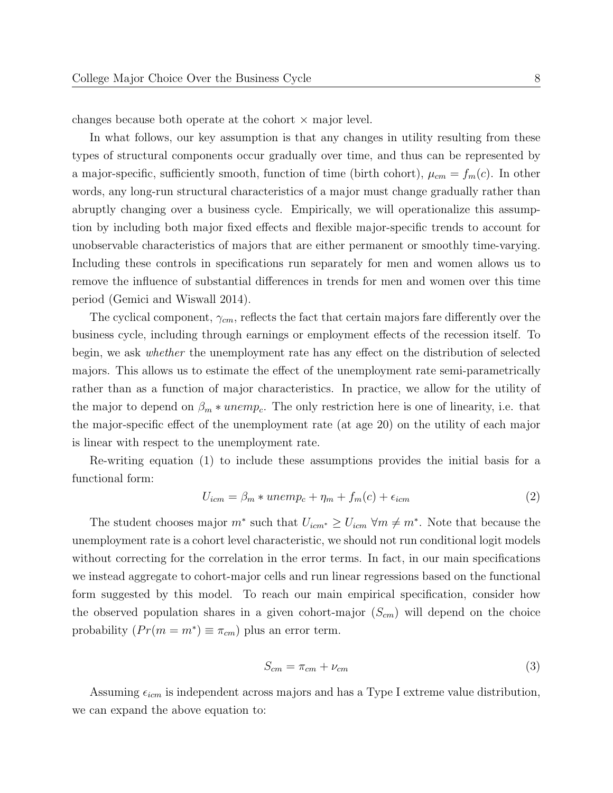changes because both operate at the cohort  $\times$  major level.

In what follows, our key assumption is that any changes in utility resulting from these types of structural components occur gradually over time, and thus can be represented by a major-specific, sufficiently smooth, function of time (birth cohort),  $\mu_{cm} = f_m(c)$ . In other words, any long-run structural characteristics of a major must change gradually rather than abruptly changing over a business cycle. Empirically, we will operationalize this assumption by including both major fixed effects and flexible major-specific trends to account for unobservable characteristics of majors that are either permanent or smoothly time-varying. Including these controls in specifications run separately for men and women allows us to remove the influence of substantial differences in trends for men and women over this time period (Gemici and Wiswall 2014).

The cyclical component,  $\gamma_{cm}$ , reflects the fact that certain majors fare differently over the business cycle, including through earnings or employment effects of the recession itself. To begin, we ask whether the unemployment rate has any effect on the distribution of selected majors. This allows us to estimate the effect of the unemployment rate semi-parametrically rather than as a function of major characteristics. In practice, we allow for the utility of the major to depend on  $\beta_m * unemp_c$ . The only restriction here is one of linearity, i.e. that the major-specific effect of the unemployment rate (at age 20) on the utility of each major is linear with respect to the unemployment rate.

Re-writing equation (1) to include these assumptions provides the initial basis for a functional form:

$$
U_{icm} = \beta_m * unemp_c + \eta_m + f_m(c) + \epsilon_{icm}
$$
\n<sup>(2)</sup>

The student chooses major  $m^*$  such that  $U_{icm^*} \geq U_{icm}$   $\forall m \neq m^*$ . Note that because the unemployment rate is a cohort level characteristic, we should not run conditional logit models without correcting for the correlation in the error terms. In fact, in our main specifications we instead aggregate to cohort-major cells and run linear regressions based on the functional form suggested by this model. To reach our main empirical specification, consider how the observed population shares in a given cohort-major  $(S_{cm})$  will depend on the choice probability  $(Pr(m = m^*) \equiv \pi_{cm})$  plus an error term.

$$
S_{cm} = \pi_{cm} + \nu_{cm} \tag{3}
$$

Assuming  $\epsilon_{icm}$  is independent across majors and has a Type I extreme value distribution, we can expand the above equation to: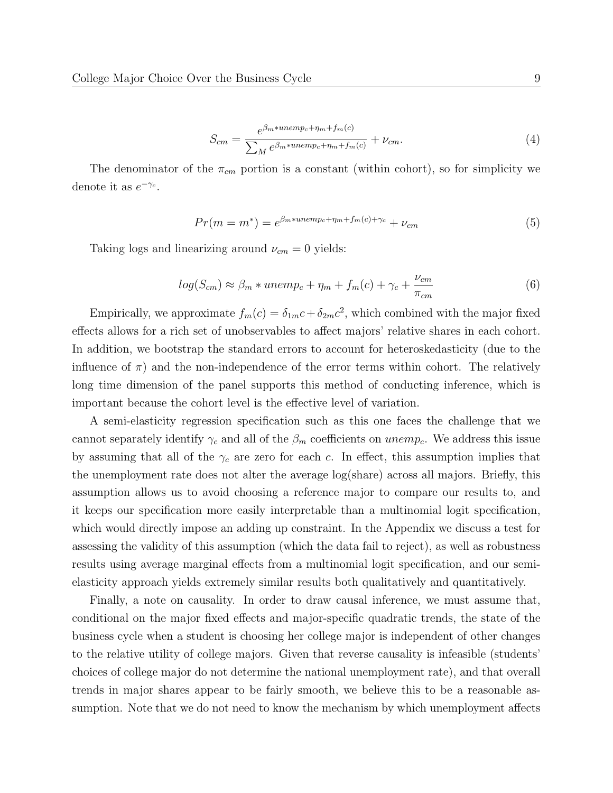$$
S_{cm} = \frac{e^{\beta_m * unemp_c + \eta_m + f_m(c)}}{\sum_M e^{\beta_m * unemp_c + \eta_m + f_m(c)}} + \nu_{cm}.
$$
\n
$$
(4)
$$

The denominator of the  $\pi_{cm}$  portion is a constant (within cohort), so for simplicity we denote it as  $e^{-\gamma_c}$ .

$$
Pr(m = m^*) = e^{\beta_m * unemp_c + \eta_m + f_m(c) + \gamma_c} + \nu_{cm}
$$
\n
$$
(5)
$$

Taking logs and linearizing around  $\nu_{cm} = 0$  yields:

$$
log(S_{cm}) \approx \beta_m * unemp_c + \eta_m + f_m(c) + \gamma_c + \frac{\nu_{cm}}{\pi_{cm}}
$$
(6)

Empirically, we approximate  $f_m(c) = \delta_{1m}c + \delta_{2m}c^2$ , which combined with the major fixed effects allows for a rich set of unobservables to affect majors' relative shares in each cohort. In addition, we bootstrap the standard errors to account for heteroskedasticity (due to the influence of  $\pi$ ) and the non-independence of the error terms within cohort. The relatively long time dimension of the panel supports this method of conducting inference, which is important because the cohort level is the effective level of variation.

A semi-elasticity regression specification such as this one faces the challenge that we cannot separately identify  $\gamma_c$  and all of the  $\beta_m$  coefficients on unemp<sub>c</sub>. We address this issue by assuming that all of the  $\gamma_c$  are zero for each c. In effect, this assumption implies that the unemployment rate does not alter the average log(share) across all majors. Briefly, this assumption allows us to avoid choosing a reference major to compare our results to, and it keeps our specification more easily interpretable than a multinomial logit specification, which would directly impose an adding up constraint. In the Appendix we discuss a test for assessing the validity of this assumption (which the data fail to reject), as well as robustness results using average marginal effects from a multinomial logit specification, and our semielasticity approach yields extremely similar results both qualitatively and quantitatively.

Finally, a note on causality. In order to draw causal inference, we must assume that, conditional on the major fixed effects and major-specific quadratic trends, the state of the business cycle when a student is choosing her college major is independent of other changes to the relative utility of college majors. Given that reverse causality is infeasible (students' choices of college major do not determine the national unemployment rate), and that overall trends in major shares appear to be fairly smooth, we believe this to be a reasonable assumption. Note that we do not need to know the mechanism by which unemployment affects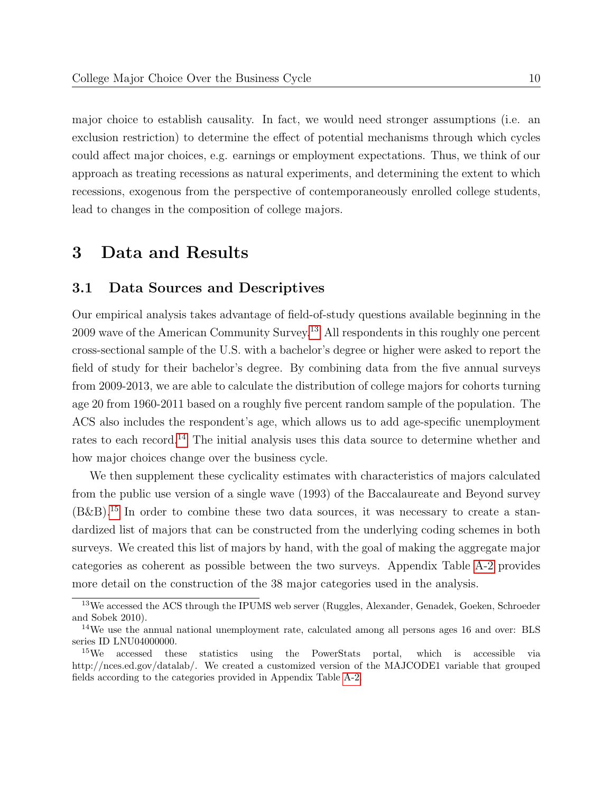major choice to establish causality. In fact, we would need stronger assumptions (i.e. an exclusion restriction) to determine the effect of potential mechanisms through which cycles could affect major choices, e.g. earnings or employment expectations. Thus, we think of our approach as treating recessions as natural experiments, and determining the extent to which recessions, exogenous from the perspective of contemporaneously enrolled college students, lead to changes in the composition of college majors.

# 3 Data and Results

#### 3.1 Data Sources and Descriptives

Our empirical analysis takes advantage of field-of-study questions available beginning in the 2009 wave of the American Community Survey.[13](#page-12-0) All respondents in this roughly one percent cross-sectional sample of the U.S. with a bachelor's degree or higher were asked to report the field of study for their bachelor's degree. By combining data from the five annual surveys from 2009-2013, we are able to calculate the distribution of college majors for cohorts turning age 20 from 1960-2011 based on a roughly five percent random sample of the population. The ACS also includes the respondent's age, which allows us to add age-specific unemployment rates to each record.<sup>[14](#page-12-1)</sup> The initial analysis uses this data source to determine whether and how major choices change over the business cycle.

We then supplement these cyclicality estimates with characteristics of majors calculated from the public use version of a single wave (1993) of the Baccalaureate and Beyond survey  $(B\&B)^{15}$  $(B\&B)^{15}$  $(B\&B)^{15}$  In order to combine these two data sources, it was necessary to create a standardized list of majors that can be constructed from the underlying coding schemes in both surveys. We created this list of majors by hand, with the goal of making the aggregate major categories as coherent as possible between the two surveys. Appendix Table [A-2](#page-47-0) provides more detail on the construction of the 38 major categories used in the analysis.

<span id="page-12-0"></span><sup>&</sup>lt;sup>13</sup>We accessed the ACS through the IPUMS web server (Ruggles, Alexander, Genadek, Goeken, Schroeder and Sobek 2010).

<span id="page-12-1"></span><sup>&</sup>lt;sup>14</sup>We use the annual national unemployment rate, calculated among all persons ages 16 and over: BLS series ID LNU04000000.

<span id="page-12-2"></span><sup>&</sup>lt;sup>15</sup>We accessed these statistics using the PowerStats portal, which is accessible via http://nces.ed.gov/datalab/. We created a customized version of the MAJCODE1 variable that grouped fields according to the categories provided in Appendix Table [A-2.](#page-47-0)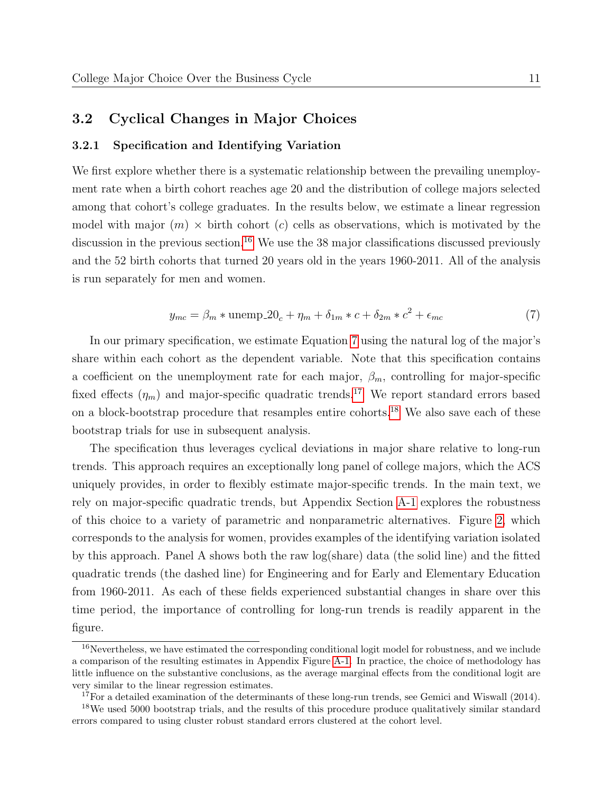#### 3.2 Cyclical Changes in Major Choices

#### 3.2.1 Specification and Identifying Variation

We first explore whether there is a systematic relationship between the prevailing unemployment rate when a birth cohort reaches age 20 and the distribution of college majors selected among that cohort's college graduates. In the results below, we estimate a linear regression model with major  $(m) \times$  birth cohort  $(c)$  cells as observations, which is motivated by the discussion in the previous section.<sup>[16](#page-13-0)</sup> We use the 38 major classifications discussed previously and the 52 birth cohorts that turned 20 years old in the years 1960-2011. All of the analysis is run separately for men and women.

<span id="page-13-1"></span>
$$
y_{mc} = \beta_m * \text{unemp.}20_c + \eta_m + \delta_{1m} * c + \delta_{2m} * c^2 + \epsilon_{mc}
$$
\n<sup>(7)</sup>

In our primary specification, we estimate Equation [7](#page-13-1) using the natural log of the major's share within each cohort as the dependent variable. Note that this specification contains a coefficient on the unemployment rate for each major,  $\beta_m$ , controlling for major-specific fixed effects  $(\eta_m)$  and major-specific quadratic trends.<sup>[17](#page-13-2)</sup> We report standard errors based on a block-bootstrap procedure that resamples entire cohorts.[18](#page-13-3) We also save each of these bootstrap trials for use in subsequent analysis.

The specification thus leverages cyclical deviations in major share relative to long-run trends. This approach requires an exceptionally long panel of college majors, which the ACS uniquely provides, in order to flexibly estimate major-specific trends. In the main text, we rely on major-specific quadratic trends, but Appendix Section [A-1](#page-3-2) explores the robustness of this choice to a variety of parametric and nonparametric alternatives. Figure [2,](#page-34-0) which corresponds to the analysis for women, provides examples of the identifying variation isolated by this approach. Panel A shows both the raw log(share) data (the solid line) and the fitted quadratic trends (the dashed line) for Engineering and for Early and Elementary Education from 1960-2011. As each of these fields experienced substantial changes in share over this time period, the importance of controlling for long-run trends is readily apparent in the figure.

<span id="page-13-0"></span><sup>&</sup>lt;sup>16</sup>Nevertheless, we have estimated the corresponding conditional logit model for robustness, and we include a comparison of the resulting estimates in Appendix Figure [A-1.](#page-44-0) In practice, the choice of methodology has little influence on the substantive conclusions, as the average marginal effects from the conditional logit are very similar to the linear regression estimates.

<span id="page-13-3"></span><span id="page-13-2"></span><sup>&</sup>lt;sup>17</sup>For a detailed examination of the determinants of these long-run trends, see Gemici and Wiswall  $(2014)$ .

<sup>&</sup>lt;sup>18</sup>We used 5000 bootstrap trials, and the results of this procedure produce qualitatively similar standard errors compared to using cluster robust standard errors clustered at the cohort level.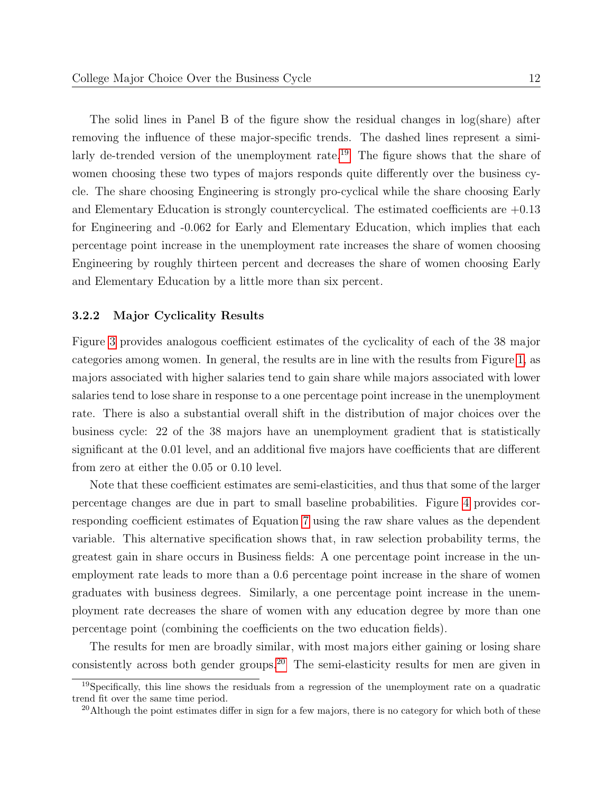The solid lines in Panel B of the figure show the residual changes in log(share) after removing the influence of these major-specific trends. The dashed lines represent a simi-larly de-trended version of the unemployment rate.<sup>[19](#page-14-0)</sup> The figure shows that the share of women choosing these two types of majors responds quite differently over the business cycle. The share choosing Engineering is strongly pro-cyclical while the share choosing Early and Elementary Education is strongly countercyclical. The estimated coefficients are  $+0.13$ for Engineering and -0.062 for Early and Elementary Education, which implies that each percentage point increase in the unemployment rate increases the share of women choosing Engineering by roughly thirteen percent and decreases the share of women choosing Early and Elementary Education by a little more than six percent.

#### 3.2.2 Major Cyclicality Results

Figure [3](#page-35-0) provides analogous coefficient estimates of the cyclicality of each of the 38 major categories among women. In general, the results are in line with the results from Figure [1,](#page-33-0) as majors associated with higher salaries tend to gain share while majors associated with lower salaries tend to lose share in response to a one percentage point increase in the unemployment rate. There is also a substantial overall shift in the distribution of major choices over the business cycle: 22 of the 38 majors have an unemployment gradient that is statistically significant at the 0.01 level, and an additional five majors have coefficients that are different from zero at either the 0.05 or 0.10 level.

Note that these coefficient estimates are semi-elasticities, and thus that some of the larger percentage changes are due in part to small baseline probabilities. Figure [4](#page-36-0) provides corresponding coefficient estimates of Equation [7](#page-13-1) using the raw share values as the dependent variable. This alternative specification shows that, in raw selection probability terms, the greatest gain in share occurs in Business fields: A one percentage point increase in the unemployment rate leads to more than a 0.6 percentage point increase in the share of women graduates with business degrees. Similarly, a one percentage point increase in the unemployment rate decreases the share of women with any education degree by more than one percentage point (combining the coefficients on the two education fields).

The results for men are broadly similar, with most majors either gaining or losing share consistently across both gender groups.[20](#page-14-1) The semi-elasticity results for men are given in

<span id="page-14-0"></span><sup>19</sup>Specifically, this line shows the residuals from a regression of the unemployment rate on a quadratic trend fit over the same time period.

<span id="page-14-1"></span> $^{20}$ Although the point estimates differ in sign for a few majors, there is no category for which both of these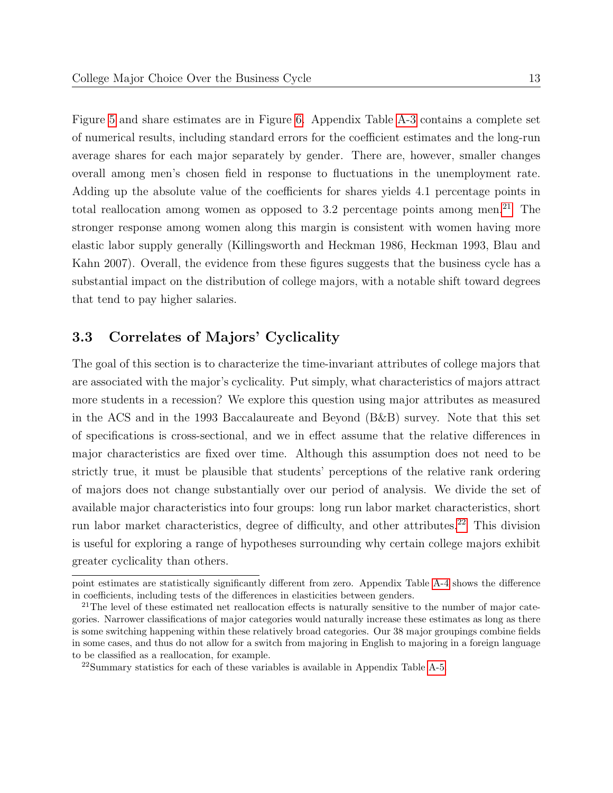Figure [5](#page-37-0) and share estimates are in Figure [6.](#page-38-0) Appendix Table [A-3](#page-54-0) contains a complete set of numerical results, including standard errors for the coefficient estimates and the long-run average shares for each major separately by gender. There are, however, smaller changes overall among men's chosen field in response to fluctuations in the unemployment rate. Adding up the absolute value of the coefficients for shares yields 4.1 percentage points in total reallocation among women as opposed to  $3.2$  percentage points among men.<sup>[21](#page-15-0)</sup> The stronger response among women along this margin is consistent with women having more elastic labor supply generally (Killingsworth and Heckman 1986, Heckman 1993, Blau and Kahn 2007). Overall, the evidence from these figures suggests that the business cycle has a substantial impact on the distribution of college majors, with a notable shift toward degrees that tend to pay higher salaries.

#### 3.3 Correlates of Majors' Cyclicality

The goal of this section is to characterize the time-invariant attributes of college majors that are associated with the major's cyclicality. Put simply, what characteristics of majors attract more students in a recession? We explore this question using major attributes as measured in the ACS and in the 1993 Baccalaureate and Beyond (B&B) survey. Note that this set of specifications is cross-sectional, and we in effect assume that the relative differences in major characteristics are fixed over time. Although this assumption does not need to be strictly true, it must be plausible that students' perceptions of the relative rank ordering of majors does not change substantially over our period of analysis. We divide the set of available major characteristics into four groups: long run labor market characteristics, short run labor market characteristics, degree of difficulty, and other attributes.<sup>[22](#page-15-1)</sup> This division is useful for exploring a range of hypotheses surrounding why certain college majors exhibit greater cyclicality than others.

point estimates are statistically significantly different from zero. Appendix Table [A-4](#page-55-0) shows the difference in coefficients, including tests of the differences in elasticities between genders.

<span id="page-15-0"></span> $21$ The level of these estimated net reallocation effects is naturally sensitive to the number of major categories. Narrower classifications of major categories would naturally increase these estimates as long as there is some switching happening within these relatively broad categories. Our 38 major groupings combine fields in some cases, and thus do not allow for a switch from majoring in English to majoring in a foreign language to be classified as a reallocation, for example.

<span id="page-15-1"></span><sup>22</sup>Summary statistics for each of these variables is available in Appendix Table [A-5.](#page-56-0)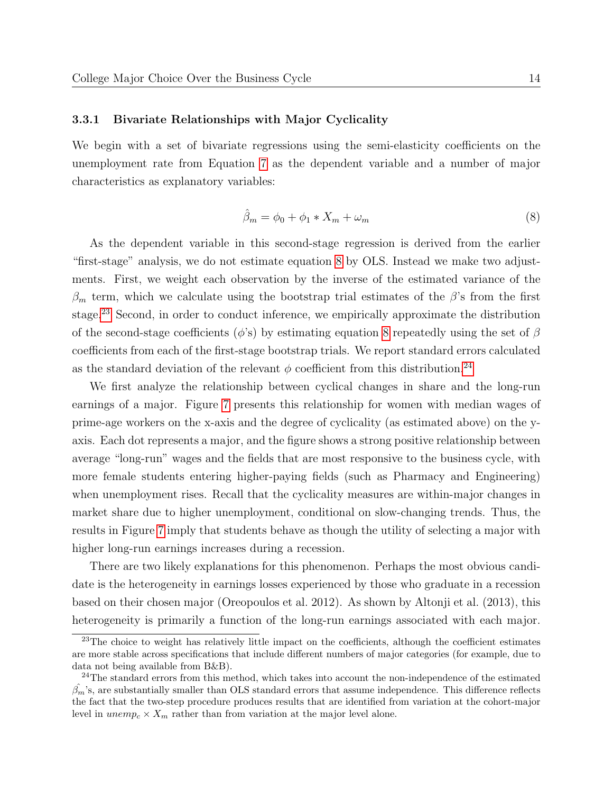#### 3.3.1 Bivariate Relationships with Major Cyclicality

We begin with a set of bivariate regressions using the semi-elasticity coefficients on the unemployment rate from Equation [7](#page-13-1) as the dependent variable and a number of major characteristics as explanatory variables:

<span id="page-16-0"></span>
$$
\hat{\beta}_m = \phi_0 + \phi_1 * X_m + \omega_m \tag{8}
$$

As the dependent variable in this second-stage regression is derived from the earlier "first-stage" analysis, we do not estimate equation [8](#page-16-0) by OLS. Instead we make two adjustments. First, we weight each observation by the inverse of the estimated variance of the  $\beta_m$  term, which we calculate using the bootstrap trial estimates of the  $\beta$ 's from the first stage.<sup>[23](#page-16-1)</sup> Second, in order to conduct inference, we empirically approximate the distribution of the second-stage coefficients ( $\phi$ 's) by estimating equation [8](#page-16-0) repeatedly using the set of  $\beta$ coefficients from each of the first-stage bootstrap trials. We report standard errors calculated as the standard deviation of the relevant  $\phi$  coefficient from this distribution.<sup>[24](#page-16-2)</sup>

We first analyze the relationship between cyclical changes in share and the long-run earnings of a major. Figure [7](#page-39-0) presents this relationship for women with median wages of prime-age workers on the x-axis and the degree of cyclicality (as estimated above) on the yaxis. Each dot represents a major, and the figure shows a strong positive relationship between average "long-run" wages and the fields that are most responsive to the business cycle, with more female students entering higher-paying fields (such as Pharmacy and Engineering) when unemployment rises. Recall that the cyclicality measures are within-major changes in market share due to higher unemployment, conditional on slow-changing trends. Thus, the results in Figure [7](#page-39-0) imply that students behave as though the utility of selecting a major with higher long-run earnings increases during a recession.

There are two likely explanations for this phenomenon. Perhaps the most obvious candidate is the heterogeneity in earnings losses experienced by those who graduate in a recession based on their chosen major (Oreopoulos et al. 2012). As shown by Altonji et al. (2013), this heterogeneity is primarily a function of the long-run earnings associated with each major.

<span id="page-16-1"></span><sup>&</sup>lt;sup>23</sup>The choice to weight has relatively little impact on the coefficients, although the coefficient estimates are more stable across specifications that include different numbers of major categories (for example, due to data not being available from B&B).

<span id="page-16-2"></span><sup>&</sup>lt;sup>24</sup>The standard errors from this method, which takes into account the non-independence of the estimated  $\hat{\beta_m}$ 's, are substantially smaller than OLS standard errors that assume independence. This difference reflects the fact that the two-step procedure produces results that are identified from variation at the cohort-major level in  $unemp_c \times X_m$  rather than from variation at the major level alone.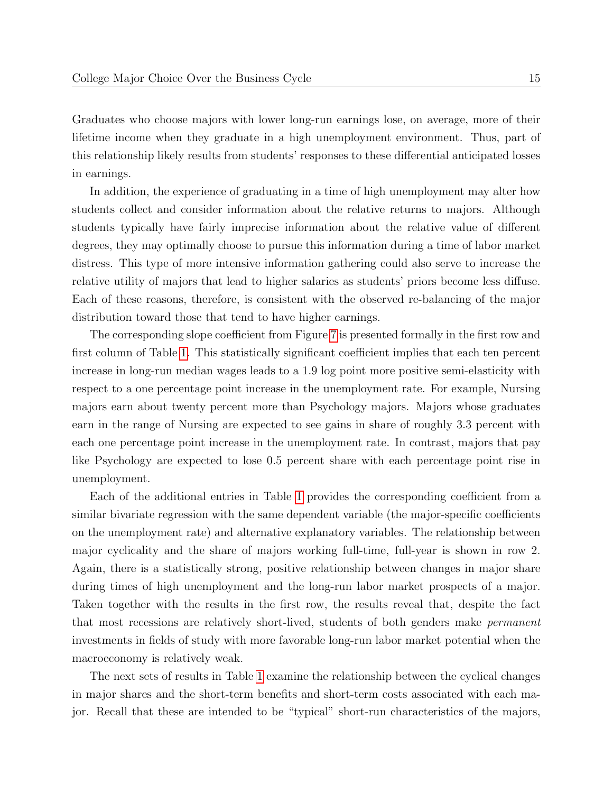Graduates who choose majors with lower long-run earnings lose, on average, more of their lifetime income when they graduate in a high unemployment environment. Thus, part of this relationship likely results from students' responses to these differential anticipated losses in earnings.

In addition, the experience of graduating in a time of high unemployment may alter how students collect and consider information about the relative returns to majors. Although students typically have fairly imprecise information about the relative value of different degrees, they may optimally choose to pursue this information during a time of labor market distress. This type of more intensive information gathering could also serve to increase the relative utility of majors that lead to higher salaries as students' priors become less diffuse. Each of these reasons, therefore, is consistent with the observed re-balancing of the major distribution toward those that tend to have higher earnings.

The corresponding slope coefficient from Figure [7](#page-39-0) is presented formally in the first row and first column of Table [1.](#page-40-0) This statistically significant coefficient implies that each ten percent increase in long-run median wages leads to a 1.9 log point more positive semi-elasticity with respect to a one percentage point increase in the unemployment rate. For example, Nursing majors earn about twenty percent more than Psychology majors. Majors whose graduates earn in the range of Nursing are expected to see gains in share of roughly 3.3 percent with each one percentage point increase in the unemployment rate. In contrast, majors that pay like Psychology are expected to lose 0.5 percent share with each percentage point rise in unemployment.

Each of the additional entries in Table [1](#page-40-0) provides the corresponding coefficient from a similar bivariate regression with the same dependent variable (the major-specific coefficients on the unemployment rate) and alternative explanatory variables. The relationship between major cyclicality and the share of majors working full-time, full-year is shown in row 2. Again, there is a statistically strong, positive relationship between changes in major share during times of high unemployment and the long-run labor market prospects of a major. Taken together with the results in the first row, the results reveal that, despite the fact that most recessions are relatively short-lived, students of both genders make permanent investments in fields of study with more favorable long-run labor market potential when the macroeconomy is relatively weak.

The next sets of results in Table [1](#page-40-0) examine the relationship between the cyclical changes in major shares and the short-term benefits and short-term costs associated with each major. Recall that these are intended to be "typical" short-run characteristics of the majors,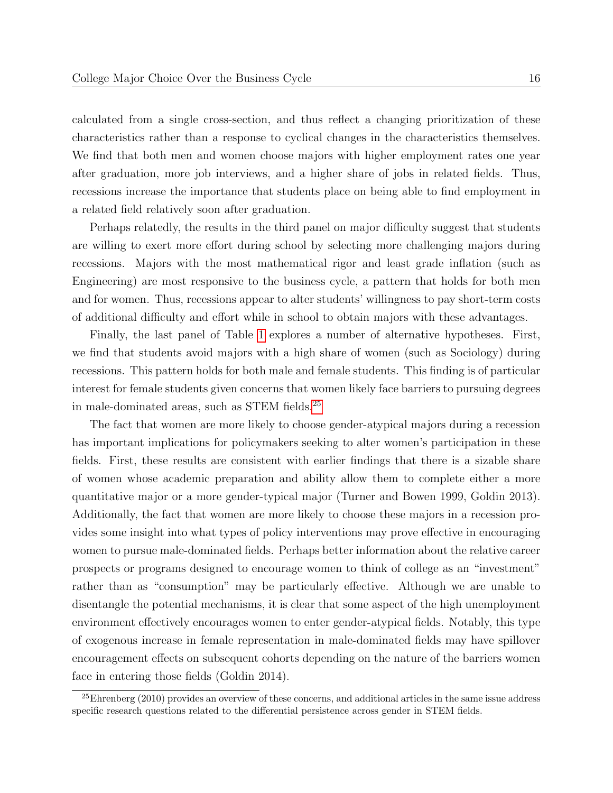calculated from a single cross-section, and thus reflect a changing prioritization of these characteristics rather than a response to cyclical changes in the characteristics themselves. We find that both men and women choose majors with higher employment rates one year after graduation, more job interviews, and a higher share of jobs in related fields. Thus, recessions increase the importance that students place on being able to find employment in a related field relatively soon after graduation.

Perhaps relatedly, the results in the third panel on major difficulty suggest that students are willing to exert more effort during school by selecting more challenging majors during recessions. Majors with the most mathematical rigor and least grade inflation (such as Engineering) are most responsive to the business cycle, a pattern that holds for both men and for women. Thus, recessions appear to alter students' willingness to pay short-term costs of additional difficulty and effort while in school to obtain majors with these advantages.

Finally, the last panel of Table [1](#page-40-0) explores a number of alternative hypotheses. First, we find that students avoid majors with a high share of women (such as Sociology) during recessions. This pattern holds for both male and female students. This finding is of particular interest for female students given concerns that women likely face barriers to pursuing degrees in male-dominated areas, such as STEM fields.[25](#page-18-0)

The fact that women are more likely to choose gender-atypical majors during a recession has important implications for policymakers seeking to alter women's participation in these fields. First, these results are consistent with earlier findings that there is a sizable share of women whose academic preparation and ability allow them to complete either a more quantitative major or a more gender-typical major (Turner and Bowen 1999, Goldin 2013). Additionally, the fact that women are more likely to choose these majors in a recession provides some insight into what types of policy interventions may prove effective in encouraging women to pursue male-dominated fields. Perhaps better information about the relative career prospects or programs designed to encourage women to think of college as an "investment" rather than as "consumption" may be particularly effective. Although we are unable to disentangle the potential mechanisms, it is clear that some aspect of the high unemployment environment effectively encourages women to enter gender-atypical fields. Notably, this type of exogenous increase in female representation in male-dominated fields may have spillover encouragement effects on subsequent cohorts depending on the nature of the barriers women face in entering those fields (Goldin 2014).

<span id="page-18-0"></span> $25$ Ehrenberg (2010) provides an overview of these concerns, and additional articles in the same issue address specific research questions related to the differential persistence across gender in STEM fields.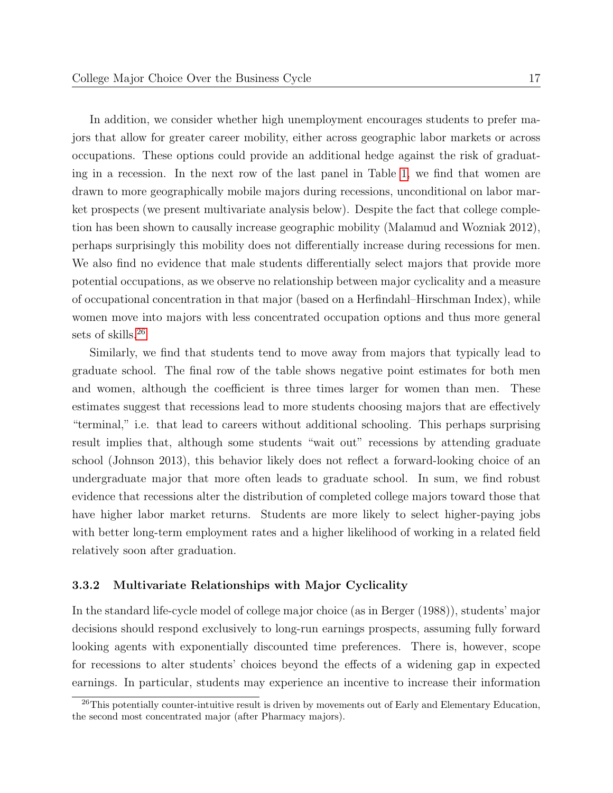In addition, we consider whether high unemployment encourages students to prefer majors that allow for greater career mobility, either across geographic labor markets or across occupations. These options could provide an additional hedge against the risk of graduating in a recession. In the next row of the last panel in Table [1,](#page-40-0) we find that women are drawn to more geographically mobile majors during recessions, unconditional on labor market prospects (we present multivariate analysis below). Despite the fact that college completion has been shown to causally increase geographic mobility (Malamud and Wozniak 2012), perhaps surprisingly this mobility does not differentially increase during recessions for men. We also find no evidence that male students differentially select majors that provide more potential occupations, as we observe no relationship between major cyclicality and a measure of occupational concentration in that major (based on a Herfindahl–Hirschman Index), while women move into majors with less concentrated occupation options and thus more general sets of skills.[26](#page-19-0)

Similarly, we find that students tend to move away from majors that typically lead to graduate school. The final row of the table shows negative point estimates for both men and women, although the coefficient is three times larger for women than men. These estimates suggest that recessions lead to more students choosing majors that are effectively "terminal," i.e. that lead to careers without additional schooling. This perhaps surprising result implies that, although some students "wait out" recessions by attending graduate school (Johnson 2013), this behavior likely does not reflect a forward-looking choice of an undergraduate major that more often leads to graduate school. In sum, we find robust evidence that recessions alter the distribution of completed college majors toward those that have higher labor market returns. Students are more likely to select higher-paying jobs with better long-term employment rates and a higher likelihood of working in a related field relatively soon after graduation.

#### 3.3.2 Multivariate Relationships with Major Cyclicality

In the standard life-cycle model of college major choice (as in Berger (1988)), students' major decisions should respond exclusively to long-run earnings prospects, assuming fully forward looking agents with exponentially discounted time preferences. There is, however, scope for recessions to alter students' choices beyond the effects of a widening gap in expected earnings. In particular, students may experience an incentive to increase their information

<span id="page-19-0"></span><sup>&</sup>lt;sup>26</sup>This potentially counter-intuitive result is driven by movements out of Early and Elementary Education, the second most concentrated major (after Pharmacy majors).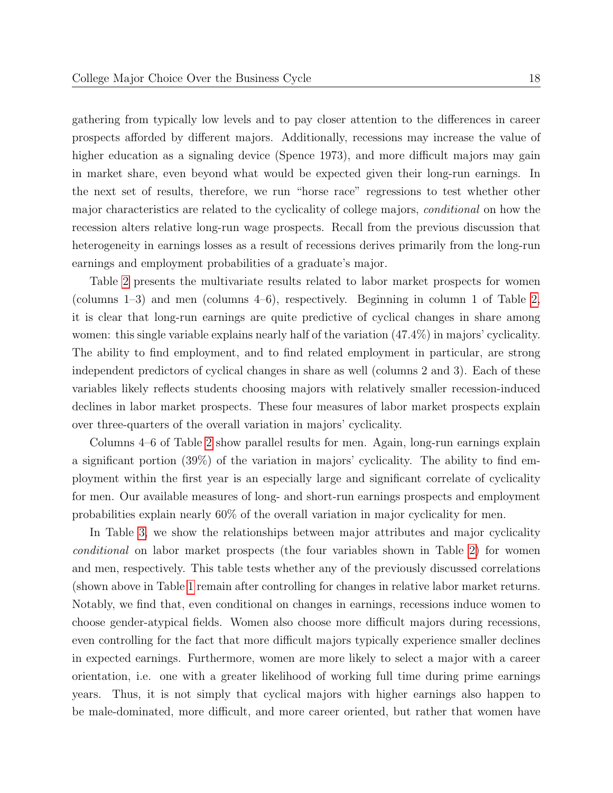gathering from typically low levels and to pay closer attention to the differences in career prospects afforded by different majors. Additionally, recessions may increase the value of higher education as a signaling device (Spence 1973), and more difficult majors may gain in market share, even beyond what would be expected given their long-run earnings. In the next set of results, therefore, we run "horse race" regressions to test whether other major characteristics are related to the cyclicality of college majors, conditional on how the recession alters relative long-run wage prospects. Recall from the previous discussion that heterogeneity in earnings losses as a result of recessions derives primarily from the long-run earnings and employment probabilities of a graduate's major.

Table [2](#page-41-0) presents the multivariate results related to labor market prospects for women (columns 1–3) and men (columns 4–6), respectively. Beginning in column 1 of Table [2,](#page-41-0) it is clear that long-run earnings are quite predictive of cyclical changes in share among women: this single variable explains nearly half of the variation (47.4%) in majors' cyclicality. The ability to find employment, and to find related employment in particular, are strong independent predictors of cyclical changes in share as well (columns 2 and 3). Each of these variables likely reflects students choosing majors with relatively smaller recession-induced declines in labor market prospects. These four measures of labor market prospects explain over three-quarters of the overall variation in majors' cyclicality.

Columns 4–6 of Table [2](#page-41-0) show parallel results for men. Again, long-run earnings explain a significant portion (39%) of the variation in majors' cyclicality. The ability to find employment within the first year is an especially large and significant correlate of cyclicality for men. Our available measures of long- and short-run earnings prospects and employment probabilities explain nearly 60% of the overall variation in major cyclicality for men.

In Table [3,](#page-42-0) we show the relationships between major attributes and major cyclicality conditional on labor market prospects (the four variables shown in Table [2\)](#page-41-0) for women and men, respectively. This table tests whether any of the previously discussed correlations (shown above in Table [1](#page-40-0) remain after controlling for changes in relative labor market returns. Notably, we find that, even conditional on changes in earnings, recessions induce women to choose gender-atypical fields. Women also choose more difficult majors during recessions, even controlling for the fact that more difficult majors typically experience smaller declines in expected earnings. Furthermore, women are more likely to select a major with a career orientation, i.e. one with a greater likelihood of working full time during prime earnings years. Thus, it is not simply that cyclical majors with higher earnings also happen to be male-dominated, more difficult, and more career oriented, but rather that women have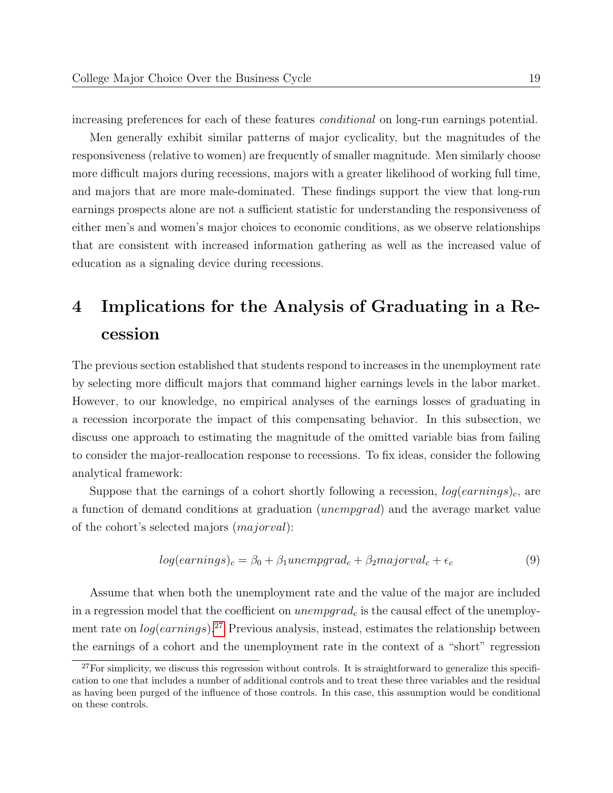increasing preferences for each of these features conditional on long-run earnings potential.

Men generally exhibit similar patterns of major cyclicality, but the magnitudes of the responsiveness (relative to women) are frequently of smaller magnitude. Men similarly choose more difficult majors during recessions, majors with a greater likelihood of working full time, and majors that are more male-dominated. These findings support the view that long-run earnings prospects alone are not a sufficient statistic for understanding the responsiveness of either men's and women's major choices to economic conditions, as we observe relationships that are consistent with increased information gathering as well as the increased value of education as a signaling device during recessions.

# 4 Implications for the Analysis of Graduating in a Recession

The previous section established that students respond to increases in the unemployment rate by selecting more difficult majors that command higher earnings levels in the labor market. However, to our knowledge, no empirical analyses of the earnings losses of graduating in a recession incorporate the impact of this compensating behavior. In this subsection, we discuss one approach to estimating the magnitude of the omitted variable bias from failing to consider the major-reallocation response to recessions. To fix ideas, consider the following analytical framework:

Suppose that the earnings of a cohort shortly following a recession,  $log(earnings)_{c}$ , are a function of demand conditions at graduation (unempgrad) and the average market value of the cohort's selected majors (majorval):

$$
log(earnings)_c = \beta_0 + \beta_1 unempgrad_c + \beta_2 majorval_c + \epsilon_c \tag{9}
$$

Assume that when both the unemployment rate and the value of the major are included in a regression model that the coefficient on  $unempgrad_c$  is the causal effect of the unemployment rate on  $log(earnings).^{27}$  $log(earnings).^{27}$  $log(earnings).^{27}$  Previous analysis, instead, estimates the relationship between the earnings of a cohort and the unemployment rate in the context of a "short" regression

<span id="page-21-0"></span> $27$ For simplicity, we discuss this regression without controls. It is straightforward to generalize this specification to one that includes a number of additional controls and to treat these three variables and the residual as having been purged of the influence of those controls. In this case, this assumption would be conditional on these controls.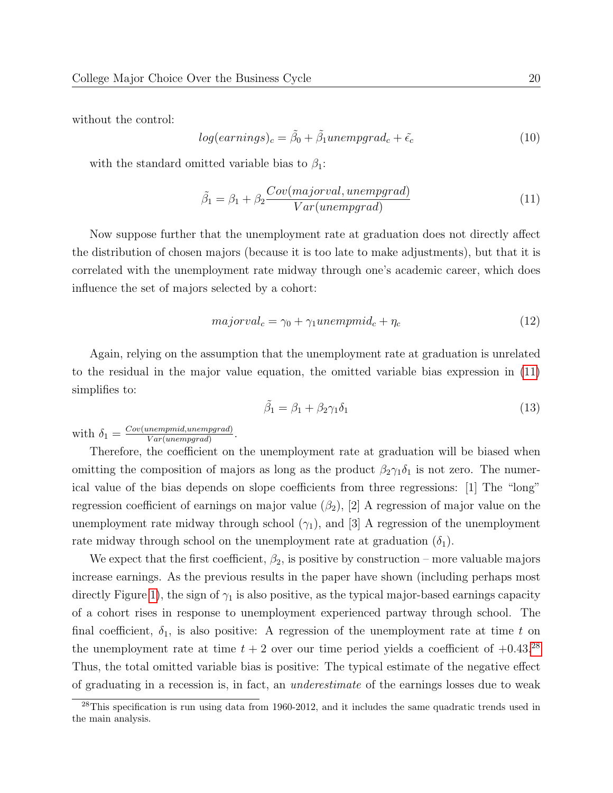without the control:

$$
log(earnings)_c = \tilde{\beta}_0 + \tilde{\beta}_1 unempgrad_c + \tilde{\epsilon}_c \tag{10}
$$

with the standard omitted variable bias to  $\beta_1$ :

<span id="page-22-0"></span>
$$
\tilde{\beta}_1 = \beta_1 + \beta_2 \frac{Cov(majorval,unempgrad)}{Var(unempgrad)}
$$
\n(11)

Now suppose further that the unemployment rate at graduation does not directly affect the distribution of chosen majors (because it is too late to make adjustments), but that it is correlated with the unemployment rate midway through one's academic career, which does influence the set of majors selected by a cohort:

$$
majorval_c = \gamma_0 + \gamma_1 unempmid_c + \eta_c \tag{12}
$$

Again, relying on the assumption that the unemployment rate at graduation is unrelated to the residual in the major value equation, the omitted variable bias expression in [\(11\)](#page-22-0) simplifies to:

$$
\tilde{\beta}_1 = \beta_1 + \beta_2 \gamma_1 \delta_1 \tag{13}
$$

with  $\delta_1 = \frac{Cov(unempmid,unempgrad)}{Var(unempgrad)}$  $\frac{unempmd,unempgrad)}{Var(unempgrad)}.$ 

Therefore, the coefficient on the unemployment rate at graduation will be biased when omitting the composition of majors as long as the product  $\beta_2\gamma_1\delta_1$  is not zero. The numerical value of the bias depends on slope coefficients from three regressions: [1] The "long" regression coefficient of earnings on major value  $(\beta_2)$ , [2] A regression of major value on the unemployment rate midway through school  $(\gamma_1)$ , and [3] A regression of the unemployment rate midway through school on the unemployment rate at graduation  $(\delta_1)$ .

We expect that the first coefficient,  $\beta_2$ , is positive by construction – more valuable majors increase earnings. As the previous results in the paper have shown (including perhaps most directly Figure [1\)](#page-33-0), the sign of  $\gamma_1$  is also positive, as the typical major-based earnings capacity of a cohort rises in response to unemployment experienced partway through school. The final coefficient,  $\delta_1$ , is also positive: A regression of the unemployment rate at time t on the unemployment rate at time  $t + 2$  over our time period yields a coefficient of  $+0.43.^{28}$  $+0.43.^{28}$  $+0.43.^{28}$ Thus, the total omitted variable bias is positive: The typical estimate of the negative effect of graduating in a recession is, in fact, an underestimate of the earnings losses due to weak

<span id="page-22-1"></span><sup>28</sup>This specification is run using data from 1960-2012, and it includes the same quadratic trends used in the main analysis.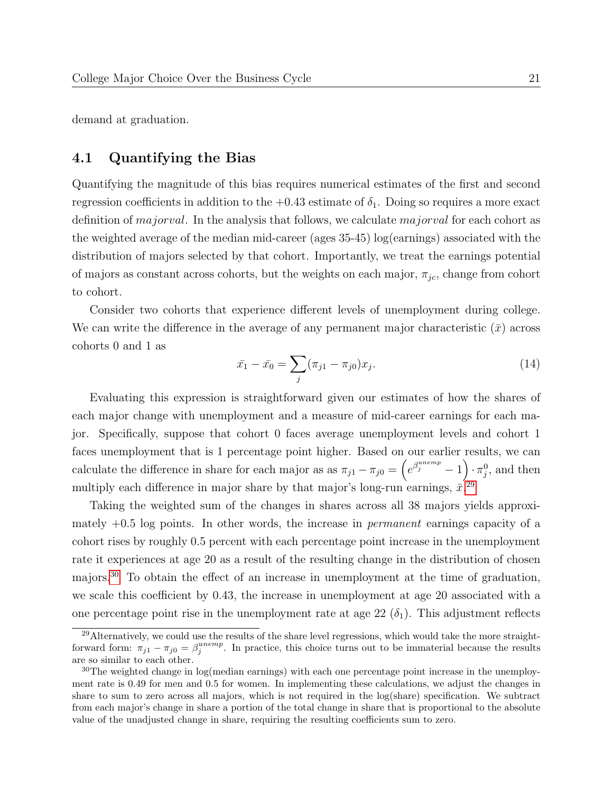demand at graduation.

#### 4.1 Quantifying the Bias

Quantifying the magnitude of this bias requires numerical estimates of the first and second regression coefficients in addition to the  $+0.43$  estimate of  $\delta_1$ . Doing so requires a more exact definition of *majorval*. In the analysis that follows, we calculate *majorval* for each cohort as the weighted average of the median mid-career (ages 35-45) log(earnings) associated with the distribution of majors selected by that cohort. Importantly, we treat the earnings potential of majors as constant across cohorts, but the weights on each major,  $\pi_{jc}$ , change from cohort to cohort.

Consider two cohorts that experience different levels of unemployment during college. We can write the difference in the average of any permanent major characteristic  $(\bar{x})$  across cohorts 0 and 1 as

$$
\bar{x}_1 - \bar{x}_0 = \sum_j (\pi_{j1} - \pi_{j0}) x_j.
$$
\n(14)

Evaluating this expression is straightforward given our estimates of how the shares of each major change with unemployment and a measure of mid-career earnings for each major. Specifically, suppose that cohort 0 faces average unemployment levels and cohort 1 faces unemployment that is 1 percentage point higher. Based on our earlier results, we can calculate the difference in share for each major as as  $\pi_{j1} - \pi_{j0} = \left(e^{\beta_j^{unemp}} - 1\right) \cdot \pi_j^0$ , and then multiply each difference in major share by that major's long-run earnings,  $\bar{x}$ <sup>[29](#page-23-0)</sup>

Taking the weighted sum of the changes in shares across all 38 majors yields approximately  $+0.5$  log points. In other words, the increase in *permanent* earnings capacity of a cohort rises by roughly 0.5 percent with each percentage point increase in the unemployment rate it experiences at age 20 as a result of the resulting change in the distribution of chosen majors.[30](#page-23-1) To obtain the effect of an increase in unemployment at the time of graduation, we scale this coefficient by 0.43, the increase in unemployment at age 20 associated with a one percentage point rise in the unemployment rate at age 22  $(\delta_1)$ . This adjustment reflects

<span id="page-23-0"></span><sup>29</sup>Alternatively, we could use the results of the share level regressions, which would take the more straightforward form:  $\pi_{j1} - \pi_{j0} = \beta_j^{unemp}$ . In practice, this choice turns out to be immaterial because the results are so similar to each other.

<span id="page-23-1"></span> $30$ The weighted change in log(median earnings) with each one percentage point increase in the unemployment rate is 0.49 for men and 0.5 for women. In implementing these calculations, we adjust the changes in share to sum to zero across all majors, which is not required in the log(share) specification. We subtract from each major's change in share a portion of the total change in share that is proportional to the absolute value of the unadjusted change in share, requiring the resulting coefficients sum to zero.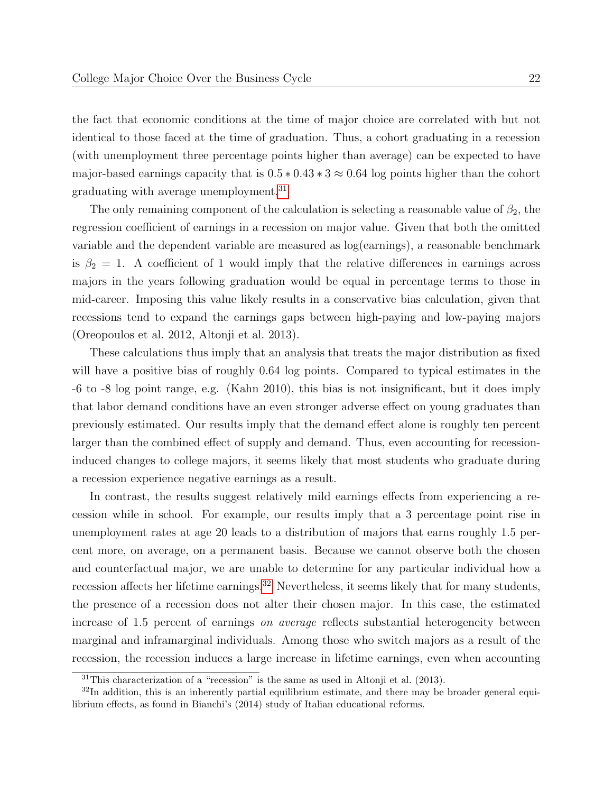the fact that economic conditions at the time of major choice are correlated with but not identical to those faced at the time of graduation. Thus, a cohort graduating in a recession (with unemployment three percentage points higher than average) can be expected to have major-based earnings capacity that is  $0.5 * 0.43 * 3 \approx 0.64$  log points higher than the cohort graduating with average unemployment.<sup>[31](#page-24-0)</sup>

The only remaining component of the calculation is selecting a reasonable value of  $\beta_2$ , the regression coefficient of earnings in a recession on major value. Given that both the omitted variable and the dependent variable are measured as log(earnings), a reasonable benchmark is  $\beta_2 = 1$ . A coefficient of 1 would imply that the relative differences in earnings across majors in the years following graduation would be equal in percentage terms to those in mid-career. Imposing this value likely results in a conservative bias calculation, given that recessions tend to expand the earnings gaps between high-paying and low-paying majors (Oreopoulos et al. 2012, Altonji et al. 2013).

These calculations thus imply that an analysis that treats the major distribution as fixed will have a positive bias of roughly 0.64 log points. Compared to typical estimates in the -6 to -8 log point range, e.g. (Kahn 2010), this bias is not insignificant, but it does imply that labor demand conditions have an even stronger adverse effect on young graduates than previously estimated. Our results imply that the demand effect alone is roughly ten percent larger than the combined effect of supply and demand. Thus, even accounting for recessioninduced changes to college majors, it seems likely that most students who graduate during a recession experience negative earnings as a result.

In contrast, the results suggest relatively mild earnings effects from experiencing a recession while in school. For example, our results imply that a 3 percentage point rise in unemployment rates at age 20 leads to a distribution of majors that earns roughly 1.5 percent more, on average, on a permanent basis. Because we cannot observe both the chosen and counterfactual major, we are unable to determine for any particular individual how a recession affects her lifetime earnings.<sup>[32](#page-24-1)</sup> Nevertheless, it seems likely that for many students, the presence of a recession does not alter their chosen major. In this case, the estimated increase of 1.5 percent of earnings on average reflects substantial heterogeneity between marginal and inframarginal individuals. Among those who switch majors as a result of the recession, the recession induces a large increase in lifetime earnings, even when accounting

<span id="page-24-1"></span><span id="page-24-0"></span> $31$ This characterization of a "recession" is the same as used in Altonji et al. (2013).

 $32$ In addition, this is an inherently partial equilibrium estimate, and there may be broader general equilibrium effects, as found in Bianchi's (2014) study of Italian educational reforms.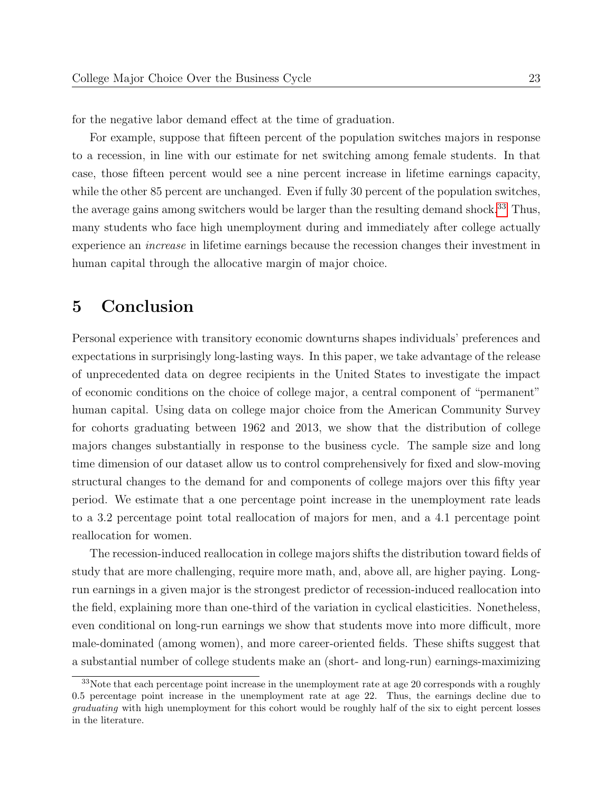for the negative labor demand effect at the time of graduation.

For example, suppose that fifteen percent of the population switches majors in response to a recession, in line with our estimate for net switching among female students. In that case, those fifteen percent would see a nine percent increase in lifetime earnings capacity, while the other 85 percent are unchanged. Even if fully 30 percent of the population switches, the average gains among switchers would be larger than the resulting demand shock.<sup>[33](#page-25-0)</sup> Thus, many students who face high unemployment during and immediately after college actually experience an increase in lifetime earnings because the recession changes their investment in human capital through the allocative margin of major choice.

# 5 Conclusion

Personal experience with transitory economic downturns shapes individuals' preferences and expectations in surprisingly long-lasting ways. In this paper, we take advantage of the release of unprecedented data on degree recipients in the United States to investigate the impact of economic conditions on the choice of college major, a central component of "permanent" human capital. Using data on college major choice from the American Community Survey for cohorts graduating between 1962 and 2013, we show that the distribution of college majors changes substantially in response to the business cycle. The sample size and long time dimension of our dataset allow us to control comprehensively for fixed and slow-moving structural changes to the demand for and components of college majors over this fifty year period. We estimate that a one percentage point increase in the unemployment rate leads to a 3.2 percentage point total reallocation of majors for men, and a 4.1 percentage point reallocation for women.

The recession-induced reallocation in college majors shifts the distribution toward fields of study that are more challenging, require more math, and, above all, are higher paying. Longrun earnings in a given major is the strongest predictor of recession-induced reallocation into the field, explaining more than one-third of the variation in cyclical elasticities. Nonetheless, even conditional on long-run earnings we show that students move into more difficult, more male-dominated (among women), and more career-oriented fields. These shifts suggest that a substantial number of college students make an (short- and long-run) earnings-maximizing

<span id="page-25-0"></span><sup>&</sup>lt;sup>33</sup>Note that each percentage point increase in the unemployment rate at age 20 corresponds with a roughly 0.5 percentage point increase in the unemployment rate at age 22. Thus, the earnings decline due to graduating with high unemployment for this cohort would be roughly half of the six to eight percent losses in the literature.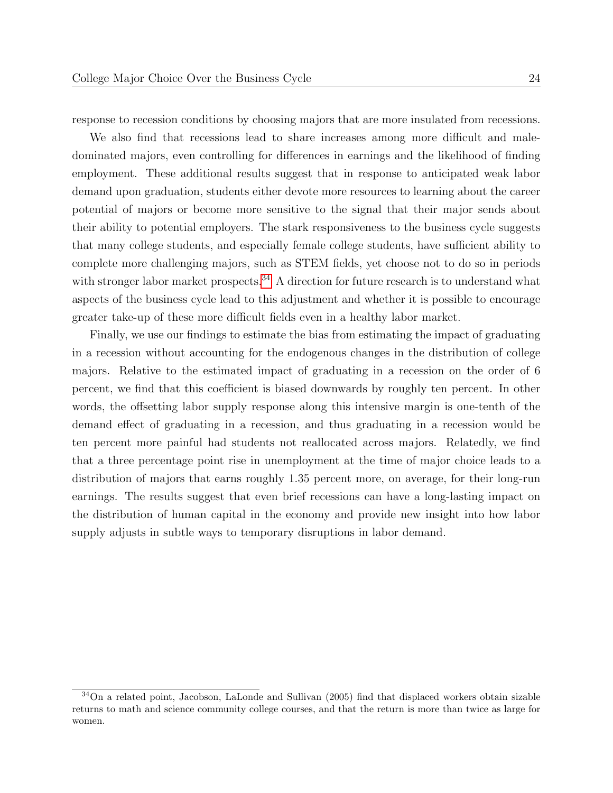response to recession conditions by choosing majors that are more insulated from recessions.

We also find that recessions lead to share increases among more difficult and maledominated majors, even controlling for differences in earnings and the likelihood of finding employment. These additional results suggest that in response to anticipated weak labor demand upon graduation, students either devote more resources to learning about the career potential of majors or become more sensitive to the signal that their major sends about their ability to potential employers. The stark responsiveness to the business cycle suggests that many college students, and especially female college students, have sufficient ability to complete more challenging majors, such as STEM fields, yet choose not to do so in periods with stronger labor market prospects.<sup>[34](#page-26-0)</sup> A direction for future research is to understand what aspects of the business cycle lead to this adjustment and whether it is possible to encourage greater take-up of these more difficult fields even in a healthy labor market.

Finally, we use our findings to estimate the bias from estimating the impact of graduating in a recession without accounting for the endogenous changes in the distribution of college majors. Relative to the estimated impact of graduating in a recession on the order of 6 percent, we find that this coefficient is biased downwards by roughly ten percent. In other words, the offsetting labor supply response along this intensive margin is one-tenth of the demand effect of graduating in a recession, and thus graduating in a recession would be ten percent more painful had students not reallocated across majors. Relatedly, we find that a three percentage point rise in unemployment at the time of major choice leads to a distribution of majors that earns roughly 1.35 percent more, on average, for their long-run earnings. The results suggest that even brief recessions can have a long-lasting impact on the distribution of human capital in the economy and provide new insight into how labor supply adjusts in subtle ways to temporary disruptions in labor demand.

<span id="page-26-0"></span> $34$ On a related point, Jacobson, LaLonde and Sullivan (2005) find that displaced workers obtain sizable returns to math and science community college courses, and that the return is more than twice as large for women.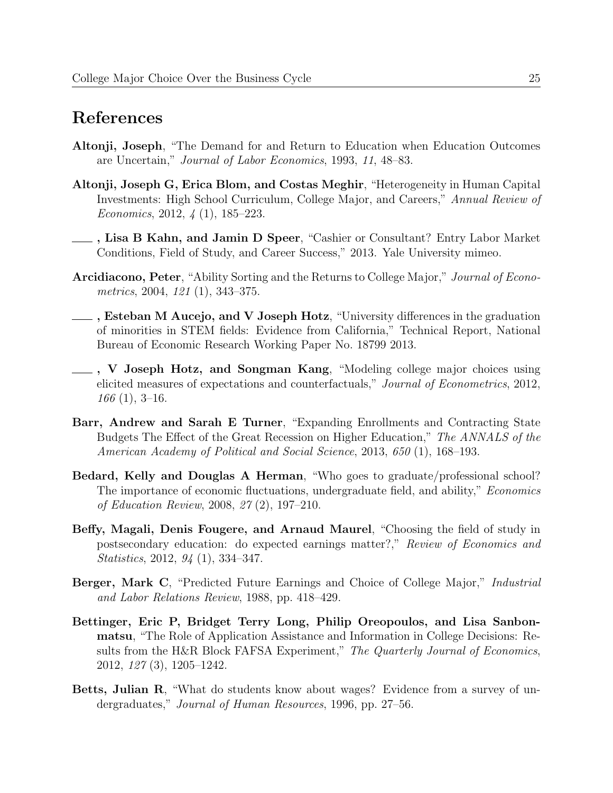# References

- Altonji, Joseph, "The Demand for and Return to Education when Education Outcomes are Uncertain," Journal of Labor Economics, 1993, 11, 48–83.
- Altonji, Joseph G, Erica Blom, and Costas Meghir, "Heterogeneity in Human Capital Investments: High School Curriculum, College Major, and Careers," Annual Review of Economics, 2012, 4 (1), 185–223.
- , Lisa B Kahn, and Jamin D Speer, "Cashier or Consultant? Entry Labor Market Conditions, Field of Study, and Career Success," 2013. Yale University mimeo.
- Arcidiacono, Peter, "Ability Sorting and the Returns to College Major," Journal of Econometrics, 2004, 121 (1), 343–375.
- **Esteban M Aucejo, and V Joseph Hotz**, "University differences in the graduation of minorities in STEM fields: Evidence from California," Technical Report, National Bureau of Economic Research Working Paper No. 18799 2013.
- , V Joseph Hotz, and Songman Kang, "Modeling college major choices using elicited measures of expectations and counterfactuals," Journal of Econometrics, 2012, 166 (1), 3–16.
- Barr, Andrew and Sarah E Turner, "Expanding Enrollments and Contracting State Budgets The Effect of the Great Recession on Higher Education," The ANNALS of the American Academy of Political and Social Science, 2013, 650 (1), 168–193.
- Bedard, Kelly and Douglas A Herman, "Who goes to graduate/professional school? The importance of economic fluctuations, undergraduate field, and ability," Economics of Education Review, 2008, 27 (2), 197–210.
- Beffy, Magali, Denis Fougere, and Arnaud Maurel, "Choosing the field of study in postsecondary education: do expected earnings matter?," Review of Economics and Statistics, 2012, 94 (1), 334–347.
- Berger, Mark C, "Predicted Future Earnings and Choice of College Major," Industrial and Labor Relations Review, 1988, pp. 418–429.
- Bettinger, Eric P, Bridget Terry Long, Philip Oreopoulos, and Lisa Sanbonmatsu, "The Role of Application Assistance and Information in College Decisions: Results from the H&R Block FAFSA Experiment," The Quarterly Journal of Economics, 2012, 127 (3), 1205–1242.
- Betts, Julian R, "What do students know about wages? Evidence from a survey of undergraduates," Journal of Human Resources, 1996, pp. 27–56.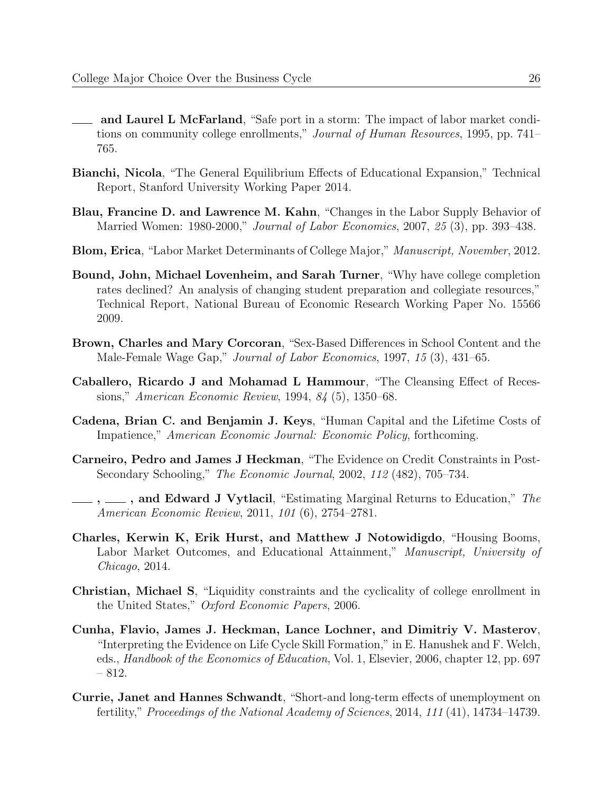- and Laurel L McFarland, "Safe port in a storm: The impact of labor market conditions on community college enrollments," Journal of Human Resources, 1995, pp. 741– 765.
- Bianchi, Nicola, "The General Equilibrium Effects of Educational Expansion," Technical Report, Stanford University Working Paper 2014.
- Blau, Francine D. and Lawrence M. Kahn, "Changes in the Labor Supply Behavior of Married Women: 1980-2000," Journal of Labor Economics, 2007, 25 (3), pp. 393–438.
- Blom, Erica, "Labor Market Determinants of College Major," Manuscript, November, 2012.
- Bound, John, Michael Lovenheim, and Sarah Turner, "Why have college completion rates declined? An analysis of changing student preparation and collegiate resources," Technical Report, National Bureau of Economic Research Working Paper No. 15566 2009.
- Brown, Charles and Mary Corcoran, "Sex-Based Differences in School Content and the Male-Female Wage Gap," Journal of Labor Economics, 1997, 15 (3), 431–65.
- Caballero, Ricardo J and Mohamad L Hammour, "The Cleansing Effect of Recessions," American Economic Review, 1994, 84 (5), 1350–68.
- Cadena, Brian C. and Benjamin J. Keys, "Human Capital and the Lifetime Costs of Impatience," American Economic Journal: Economic Policy, forthcoming.
- Carneiro, Pedro and James J Heckman, "The Evidence on Credit Constraints in Post-Secondary Schooling," The Economic Journal, 2002, 112 (482), 705–734.
- ,  $\ldots$ , and Edward J Vytlacil, "Estimating Marginal Returns to Education," The American Economic Review, 2011, 101 (6), 2754–2781.
- Charles, Kerwin K, Erik Hurst, and Matthew J Notowidigdo, "Housing Booms, Labor Market Outcomes, and Educational Attainment," Manuscript, University of Chicago, 2014.
- Christian, Michael S, "Liquidity constraints and the cyclicality of college enrollment in the United States," Oxford Economic Papers, 2006.
- Cunha, Flavio, James J. Heckman, Lance Lochner, and Dimitriy V. Masterov, "Interpreting the Evidence on Life Cycle Skill Formation," in E. Hanushek and F. Welch, eds., Handbook of the Economics of Education, Vol. 1, Elsevier, 2006, chapter 12, pp. 697 – 812.
- Currie, Janet and Hannes Schwandt, "Short-and long-term effects of unemployment on fertility," Proceedings of the National Academy of Sciences, 2014, 111 (41), 14734–14739.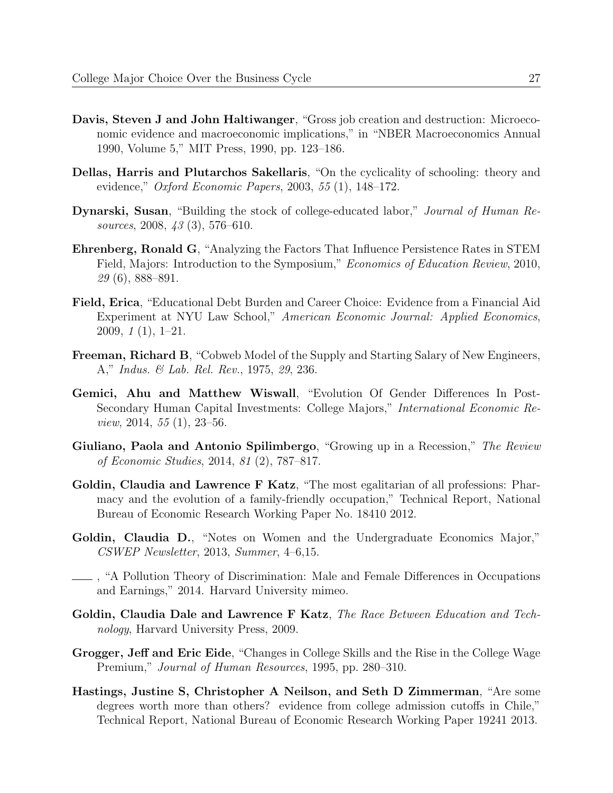- Davis, Steven J and John Haltiwanger, "Gross job creation and destruction: Microeconomic evidence and macroeconomic implications," in "NBER Macroeconomics Annual 1990, Volume 5," MIT Press, 1990, pp. 123–186.
- Dellas, Harris and Plutarchos Sakellaris, "On the cyclicality of schooling: theory and evidence," *Oxford Economic Papers*, 2003, 55 (1), 148–172.
- Dynarski, Susan, "Building the stock of college-educated labor," Journal of Human Resources, 2008, 43 (3), 576–610.
- Ehrenberg, Ronald G, "Analyzing the Factors That Influence Persistence Rates in STEM Field, Majors: Introduction to the Symposium," Economics of Education Review, 2010, 29 (6), 888–891.
- Field, Erica, "Educational Debt Burden and Career Choice: Evidence from a Financial Aid Experiment at NYU Law School," American Economic Journal: Applied Economics, 2009, 1 (1), 1–21.
- Freeman, Richard B, "Cobweb Model of the Supply and Starting Salary of New Engineers, A," Indus. & Lab. Rel. Rev., 1975, 29, 236.
- Gemici, Ahu and Matthew Wiswall, "Evolution Of Gender Differences In Post-Secondary Human Capital Investments: College Majors," International Economic Re*view*, 2014,  $55(1)$ , 23–56.
- Giuliano, Paola and Antonio Spilimbergo, "Growing up in a Recession," The Review of Economic Studies, 2014, 81 (2), 787–817.
- Goldin, Claudia and Lawrence F Katz, "The most egalitarian of all professions: Pharmacy and the evolution of a family-friendly occupation," Technical Report, National Bureau of Economic Research Working Paper No. 18410 2012.
- Goldin, Claudia D., "Notes on Women and the Undergraduate Economics Major," CSWEP Newsletter, 2013, Summer, 4–6,15.
- , "A Pollution Theory of Discrimination: Male and Female Differences in Occupations and Earnings," 2014. Harvard University mimeo.
- Goldin, Claudia Dale and Lawrence F Katz, The Race Between Education and Technology, Harvard University Press, 2009.
- Grogger, Jeff and Eric Eide, "Changes in College Skills and the Rise in the College Wage Premium," *Journal of Human Resources*, 1995, pp. 280–310.
- Hastings, Justine S, Christopher A Neilson, and Seth D Zimmerman, "Are some degrees worth more than others? evidence from college admission cutoffs in Chile," Technical Report, National Bureau of Economic Research Working Paper 19241 2013.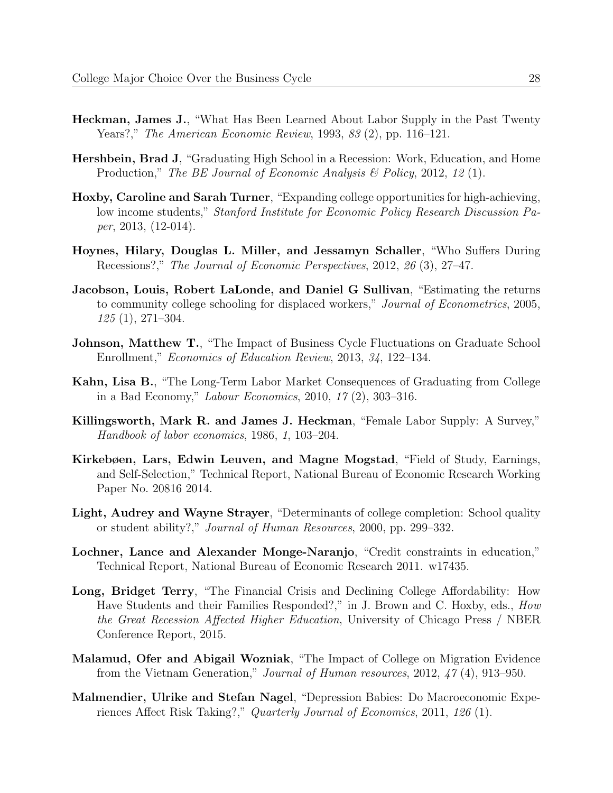- Heckman, James J., "What Has Been Learned About Labor Supply in the Past Twenty Years?," The American Economic Review, 1993, 83 (2), pp. 116–121.
- Hershbein, Brad J, "Graduating High School in a Recession: Work, Education, and Home Production," The BE Journal of Economic Analysis & Policy, 2012, 12 (1).
- Hoxby, Caroline and Sarah Turner, "Expanding college opportunities for high-achieving, low income students," Stanford Institute for Economic Policy Research Discussion Paper, 2013, (12-014).
- Hoynes, Hilary, Douglas L. Miller, and Jessamyn Schaller, "Who Suffers During Recessions?," The Journal of Economic Perspectives, 2012, 26 (3), 27–47.
- Jacobson, Louis, Robert LaLonde, and Daniel G Sullivan, "Estimating the returns to community college schooling for displaced workers," Journal of Econometrics, 2005, 125 (1), 271–304.
- Johnson, Matthew T., "The Impact of Business Cycle Fluctuations on Graduate School Enrollment," Economics of Education Review, 2013, 34, 122–134.
- Kahn, Lisa B., "The Long-Term Labor Market Consequences of Graduating from College in a Bad Economy," Labour Economics, 2010, 17 (2), 303–316.
- Killingsworth, Mark R. and James J. Heckman, "Female Labor Supply: A Survey," Handbook of labor economics, 1986, 1, 103–204.
- Kirkebøen, Lars, Edwin Leuven, and Magne Mogstad, "Field of Study, Earnings, and Self-Selection," Technical Report, National Bureau of Economic Research Working Paper No. 20816 2014.
- Light, Audrey and Wayne Strayer, "Determinants of college completion: School quality or student ability?," Journal of Human Resources, 2000, pp. 299–332.
- Lochner, Lance and Alexander Monge-Naranjo, "Credit constraints in education," Technical Report, National Bureau of Economic Research 2011. w17435.
- Long, Bridget Terry, "The Financial Crisis and Declining College Affordability: How Have Students and their Families Responded?," in J. Brown and C. Hoxby, eds., How the Great Recession Affected Higher Education, University of Chicago Press / NBER Conference Report, 2015.
- Malamud, Ofer and Abigail Wozniak, "The Impact of College on Migration Evidence from the Vietnam Generation," Journal of Human resources, 2012, 47 (4), 913–950.
- Malmendier, Ulrike and Stefan Nagel, "Depression Babies: Do Macroeconomic Experiences Affect Risk Taking?," Quarterly Journal of Economics, 2011, 126 (1).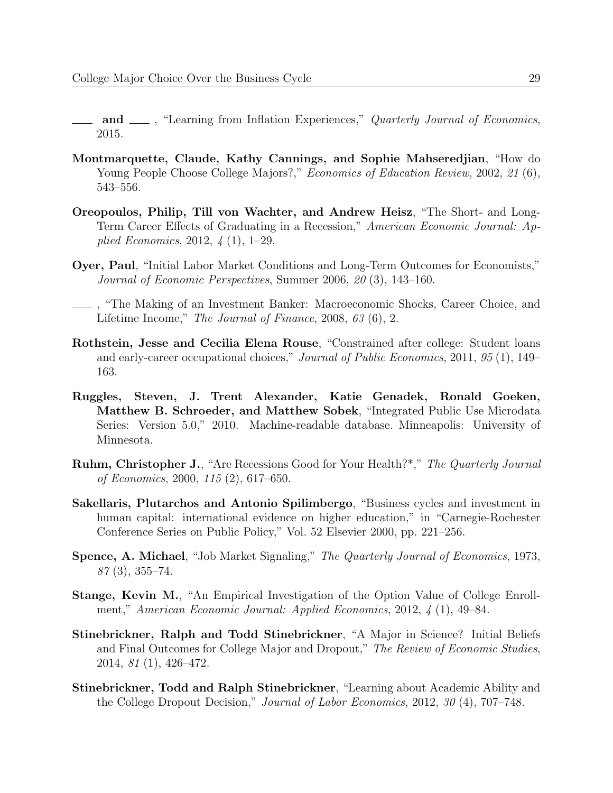- and  $\_\_\$ , "Learning from Inflation Experiences," Quarterly Journal of Economics, 2015.
- Montmarquette, Claude, Kathy Cannings, and Sophie Mahseredjian, "How do Young People Choose College Majors?," *Economics of Education Review*, 2002, 21 (6), 543–556.
- Oreopoulos, Philip, Till von Wachter, and Andrew Heisz, "The Short- and Long-Term Career Effects of Graduating in a Recession," American Economic Journal: Applied Economics, 2012, 4 (1), 1–29.
- Oyer, Paul, "Initial Labor Market Conditions and Long-Term Outcomes for Economists," Journal of Economic Perspectives, Summer 2006, 20 (3), 143–160.
- , "The Making of an Investment Banker: Macroeconomic Shocks, Career Choice, and Lifetime Income," The Journal of Finance, 2008, 63 (6), 2.
- Rothstein, Jesse and Cecilia Elena Rouse, "Constrained after college: Student loans and early-career occupational choices," Journal of Public Economics, 2011, 95 (1), 149– 163.
- Ruggles, Steven, J. Trent Alexander, Katie Genadek, Ronald Goeken, Matthew B. Schroeder, and Matthew Sobek, "Integrated Public Use Microdata Series: Version 5.0," 2010. Machine-readable database. Minneapolis: University of Minnesota.
- Ruhm, Christopher J., "Are Recessions Good for Your Health?\*," The Quarterly Journal of Economics, 2000, 115 (2), 617–650.
- Sakellaris, Plutarchos and Antonio Spilimbergo, "Business cycles and investment in human capital: international evidence on higher education," in "Carnegie-Rochester Conference Series on Public Policy," Vol. 52 Elsevier 2000, pp. 221–256.
- Spence, A. Michael, "Job Market Signaling," The Quarterly Journal of Economics, 1973,  $87(3), 355-74.$
- Stange, Kevin M., "An Empirical Investigation of the Option Value of College Enrollment," American Economic Journal: Applied Economics, 2012, 4 (1), 49–84.
- Stinebrickner, Ralph and Todd Stinebrickner, "A Major in Science? Initial Beliefs and Final Outcomes for College Major and Dropout," The Review of Economic Studies, 2014, 81 (1), 426–472.
- Stinebrickner, Todd and Ralph Stinebrickner, "Learning about Academic Ability and the College Dropout Decision," Journal of Labor Economics, 2012, 30 (4), 707–748.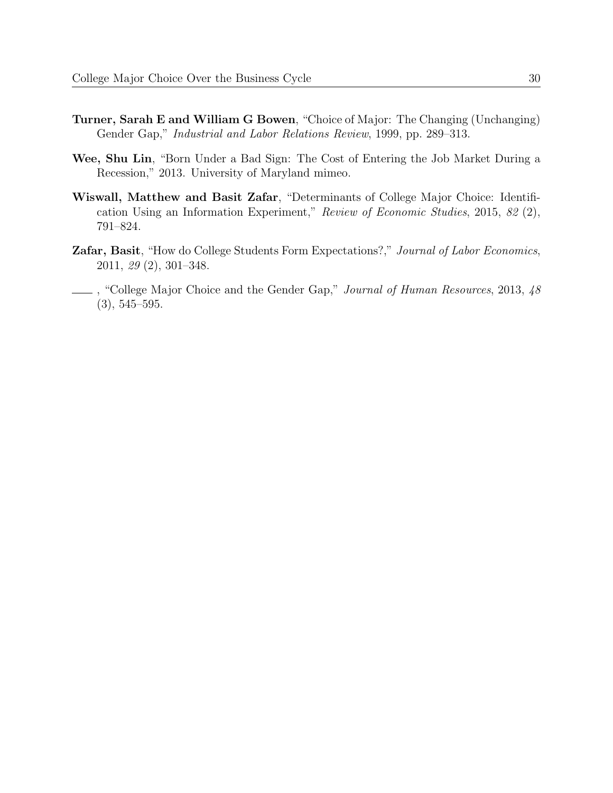- Turner, Sarah E and William G Bowen, "Choice of Major: The Changing (Unchanging) Gender Gap," Industrial and Labor Relations Review, 1999, pp. 289–313.
- Wee, Shu Lin, "Born Under a Bad Sign: The Cost of Entering the Job Market During a Recession," 2013. University of Maryland mimeo.
- Wiswall, Matthew and Basit Zafar, "Determinants of College Major Choice: Identification Using an Information Experiment," Review of Economic Studies, 2015, 82 (2), 791–824.
- Zafar, Basit, "How do College Students Form Expectations?," Journal of Labor Economics, 2011, 29 (2), 301–348.
- , "College Major Choice and the Gender Gap," Journal of Human Resources, 2013, 48 (3), 545–595.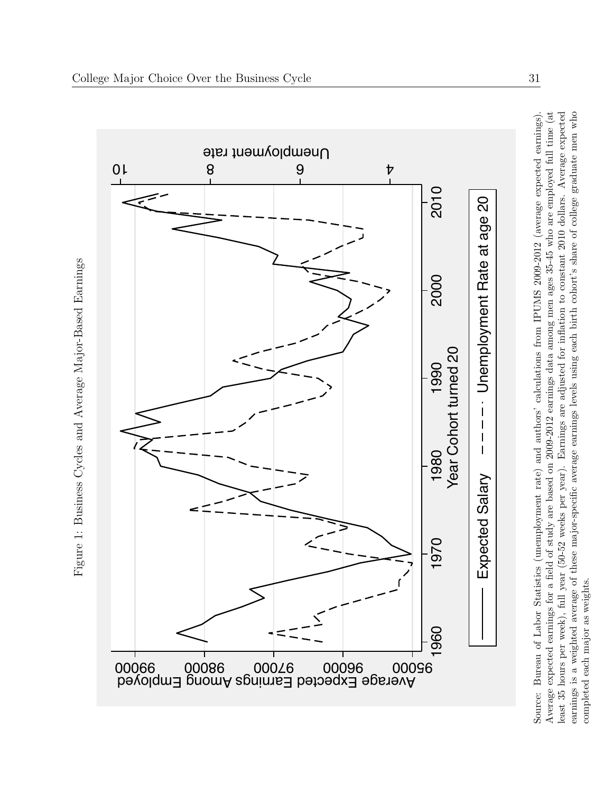<span id="page-33-0"></span>

Average expected earnings for a field of study are based on 2009-2012 earnings data among men ages 35-45 who are employed full time (at earnings is a weighted average of these major-specific average earnings levels using each birth cohort's share of college graduate men who least 35 hours per week), full year (50-52 weeks per year). Earnings are adjusted for inflation to constant 2010 dollars. Average expected Source: Bureau of Labor Statistics (unemployment rate) and authors' calculations from IPUMS 2009-2012 (average expected earnings). Average expected earnings for a field of study are based on 2009-2012 earnings data among men ages 35-45 who are employed full time (at least 35 hours per week), full year (50-52 weeks per year). Earnings are adjusted for inflation to constant 2010 dollars. Average expected earnings is a weighted average of these major-specific average earnings levels using each birth cohort's share of college graduate men who Source: Bureau of Labor Statistics (unemployment rate) and authors' calculations from IPUMS 2009-2012 (average expected earnings) completed each major as weights. completed each major as weights.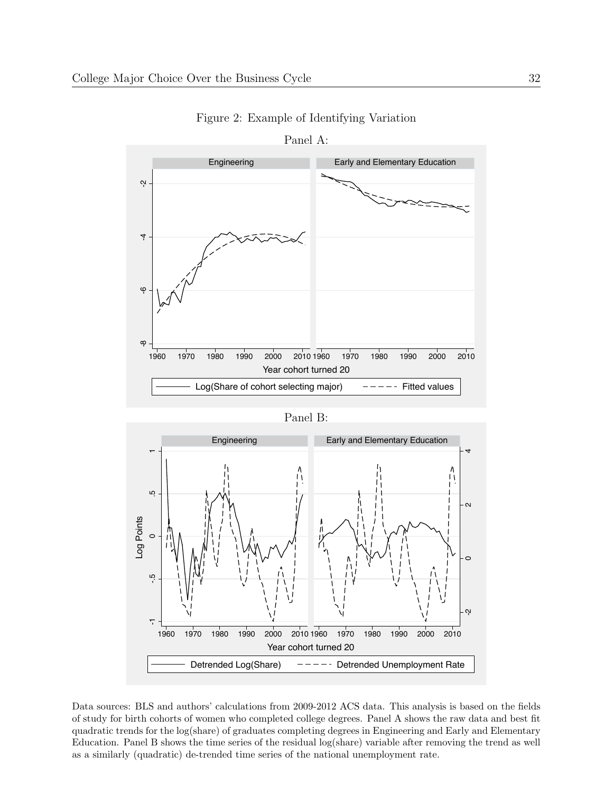<span id="page-34-0"></span>

Figure 2: Example of Identifying Variation



Data sources: BLS and authors' calculations from 2009-2012 ACS data. This analysis is based on the fields of study for birth cohorts of women who completed college degrees. Panel A shows the raw data and best fit quadratic trends for the log(share) of graduates completing degrees in Engineering and Early and Elementary Education. Panel B shows the time series of the residual log(share) variable after removing the trend as well as a similarly (quadratic) de-trended time series of the national unemployment rate.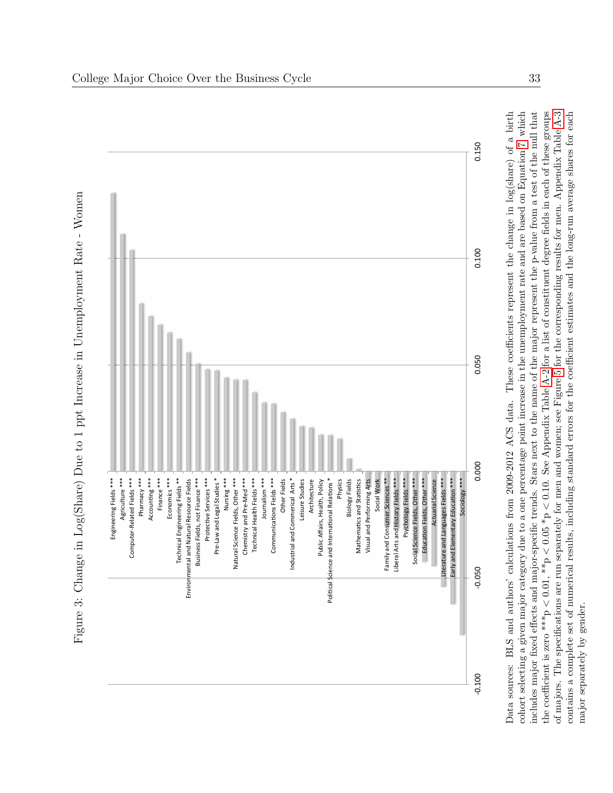

<span id="page-35-0"></span>includes major fixed effects and major-specific trends. Stars next to the name of the major represent the p-value from a test of the null that Data sources: BLS and authors' calculations from 2009-2012 ACS data. These coefficients represent the change in log(share) of a birth cohort selecting a given major category due to a one percentage point increase in the unemployment rate and are based on Equation 7, which contains a complete set of numerical results, including standard errors for the coefficient estimates and the long-run average shares for each Data sources: BLS and authors' calculations from 2009-2012 ACS data. These coefficients represent the change in log(share) of a birth cohort selecting a given major category due to a one percentage point increase in the unemployment rate and are based on Equation [7,](#page-13-1) which includes major fixed effects and major-specific trends. Stars next to the name of the major represent the p-value from a test of the null that  $0.10$ . See Appendix Table [A-2](#page-47-0) for a list of constituent degree fields in each of these groups of majors. The specifications are run separately for men and women; see Figure [5](#page-37-0) for the corresponding results for men. Appendix Table [A-3](#page-54-0) contains a complete set of numerical results, including standard errors for the coefficient estimates and the long-run average shares for each V  $< 0.05 * p$  $< 0.01,$  \*\*p major separately by gender. major separately by gender.the coefficient is zero \*\*\*p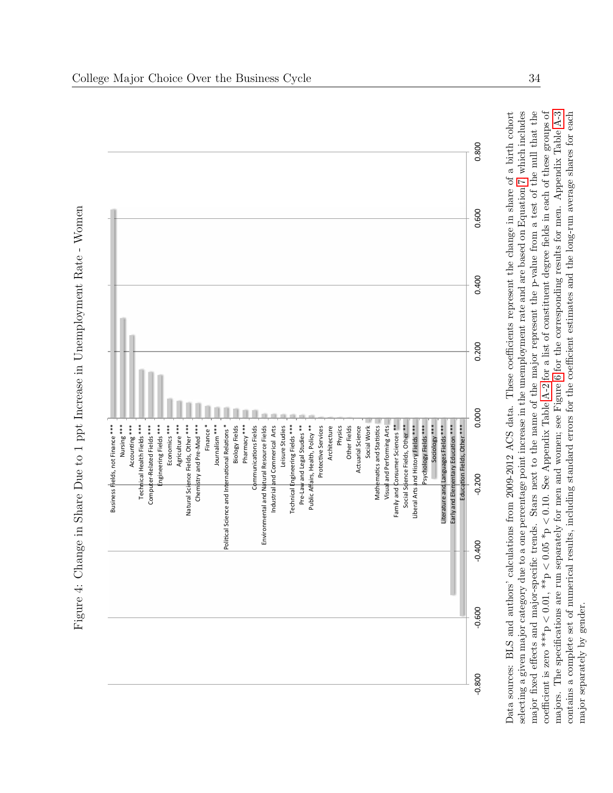

<span id="page-36-0"></span>Figure 4: Change in Share Due to 1 ppt Increase in Unemployment Rate - Women Figure 4: Change in Share Due to 1 ppt Increase in Unemployment Rate - Women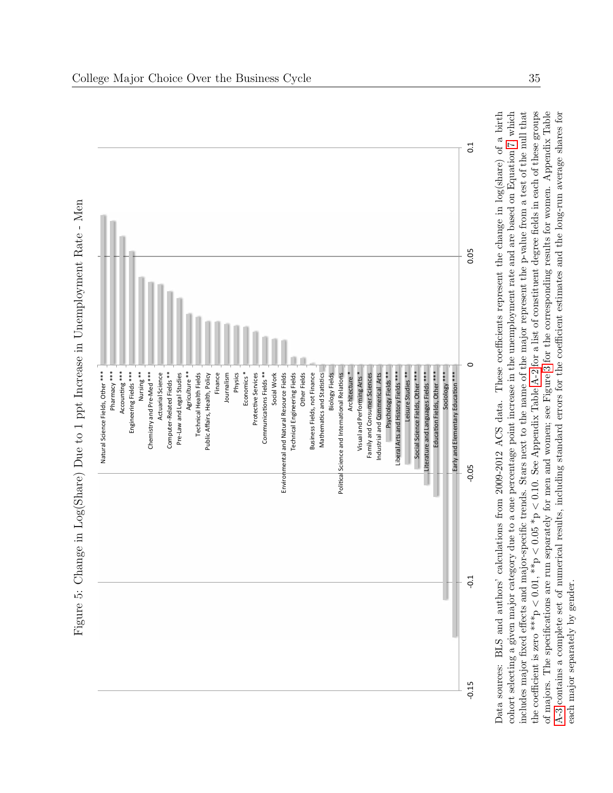<span id="page-37-0"></span>

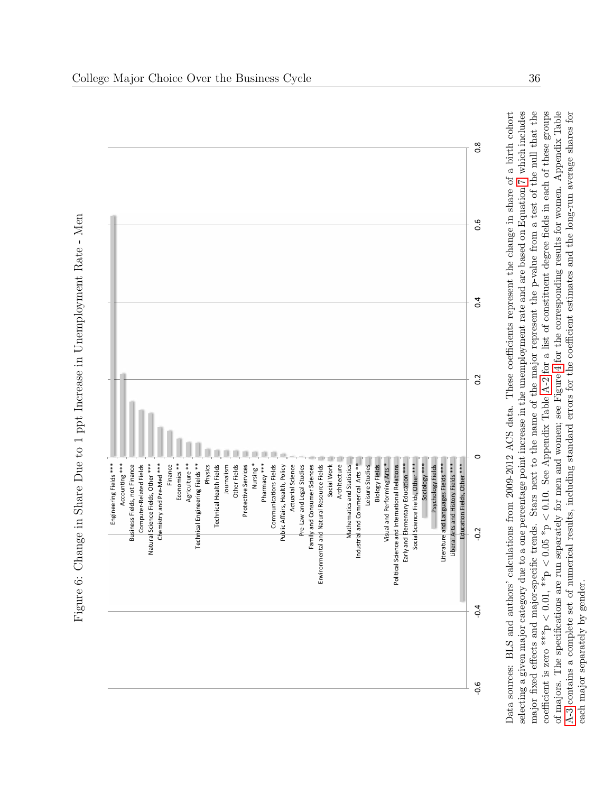<span id="page-38-0"></span>

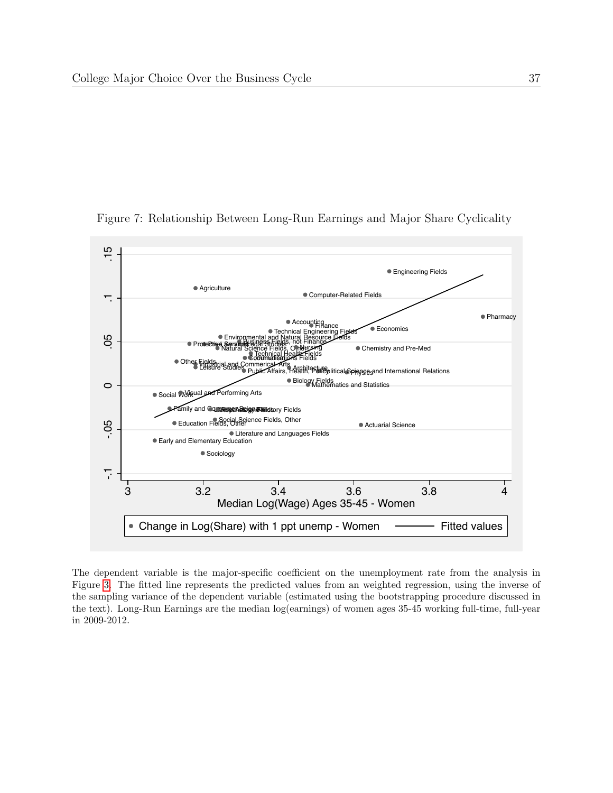

<span id="page-39-0"></span>Figure 7: Relationship Between Long-Run Earnings and Major Share Cyclicality

The dependent variable is the major-specific coefficient on the unemployment rate from the analysis in Figure [3.](#page-35-0) The fitted line represents the predicted values from an weighted regression, using the inverse of the sampling variance of the dependent variable (estimated using the bootstrapping procedure discussed in the text). Long-Run Earnings are the median log(earnings) of women ages 35-45 working full-time, full-year in 2009-2012.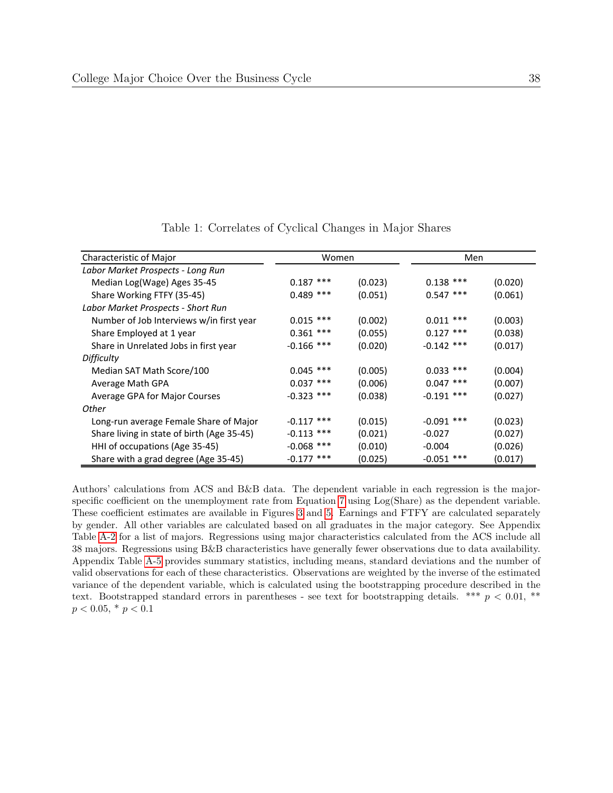<span id="page-40-0"></span>

| Characteristic of Major                    |              | Men<br>Women |              |         |
|--------------------------------------------|--------------|--------------|--------------|---------|
| Labor Market Prospects - Long Run          |              |              |              |         |
| Median Log(Wage) Ages 35-45                | $0.187$ ***  | (0.023)      | $0.138$ ***  | (0.020) |
| Share Working FTFY (35-45)                 | $0.489$ ***  | (0.051)      | $0.547$ ***  | (0.061) |
| Labor Market Prospects - Short Run         |              |              |              |         |
| Number of Job Interviews w/in first year   | $0.015$ ***  | (0.002)      | $0.011$ ***  | (0.003) |
| Share Employed at 1 year                   | $0.361$ ***  | (0.055)      | $0.127$ ***  | (0.038) |
| Share in Unrelated Jobs in first year      | $-0.166$ *** | (0.020)      | $-0.142$ *** | (0.017) |
| Difficulty                                 |              |              |              |         |
| Median SAT Math Score/100                  | $0.045$ ***  | (0.005)      | $0.033$ ***  | (0.004) |
| Average Math GPA                           | $0.037$ ***  | (0.006)      | $0.047$ ***  | (0.007) |
| Average GPA for Major Courses              | $-0.323$ *** | (0.038)      | $-0.191$ *** | (0.027) |
| Other                                      |              |              |              |         |
| Long-run average Female Share of Major     | $-0.117$ *** | (0.015)      | $-0.091$ *** | (0.023) |
| Share living in state of birth (Age 35-45) | $-0.113$ *** | (0.021)      | $-0.027$     | (0.027) |
| HHI of occupations (Age 35-45)             | $-0.068$ *** | (0.010)      | $-0.004$     | (0.026) |
| Share with a grad degree (Age 35-45)       | $-0.177$ *** | (0.025)      | $-0.051$ *** | (0.017) |

Table 1: Correlates of Cyclical Changes in Major Shares

Authors' calculations from ACS and B&B data. The dependent variable in each regression is the majorspecific coefficient on the unemployment rate from Equation [7](#page-13-1) using Log(Share) as the dependent variable. These coefficient estimates are available in Figures [3](#page-35-0) and [5.](#page-37-0) Earnings and FTFY are calculated separately by gender. All other variables are calculated based on all graduates in the major category. See Appendix Table [A-2](#page-47-0) for a list of majors. Regressions using major characteristics calculated from the ACS include all 38 majors. Regressions using B&B characteristics have generally fewer observations due to data availability. Appendix Table [A-5](#page-56-0) provides summary statistics, including means, standard deviations and the number of valid observations for each of these characteristics. Observations are weighted by the inverse of the estimated variance of the dependent variable, which is calculated using the bootstrapping procedure described in the text. Bootstrapped standard errors in parentheses - see text for bootstrapping details. \*\*\*  $p < 0.01$ , \*\*  $p < 0.05, * p < 0.1$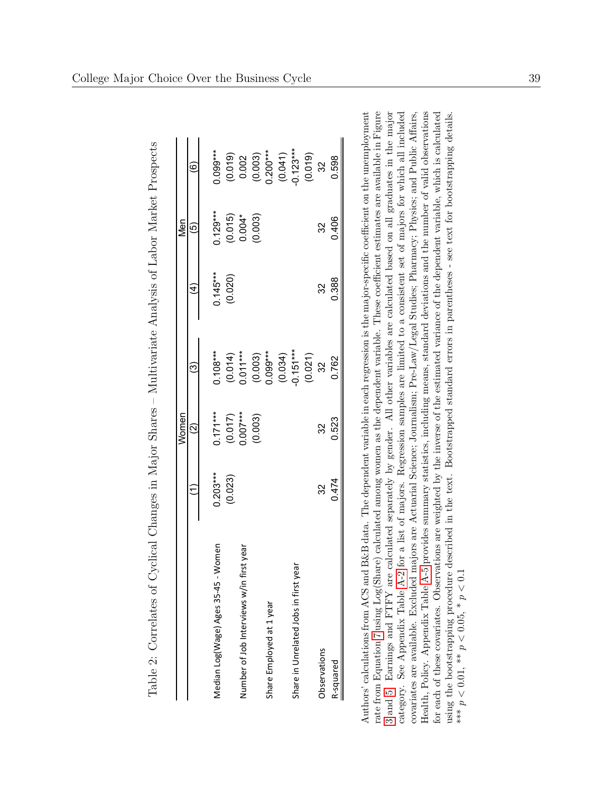|                                          |            | Women                                        |                                                                                                                             |            | Nen                                |                                                                                       |
|------------------------------------------|------------|----------------------------------------------|-----------------------------------------------------------------------------------------------------------------------------|------------|------------------------------------|---------------------------------------------------------------------------------------|
|                                          |            | $\widehat{Q}$                                | ල                                                                                                                           | ₹          | 6                                  | ම                                                                                     |
| omen<br>Median Log(Wage) Ages 35-45 - W  | $0.203***$ |                                              | $0.108***$                                                                                                                  | $0.145***$ | $0.129***$                         | $0.099***$                                                                            |
|                                          | (0.023)    | $0.171***$<br>(0.017)<br>0.007***<br>(0.003) |                                                                                                                             | (0.020)    |                                    |                                                                                       |
| Number of Job Interviews w/in first year |            |                                              |                                                                                                                             |            |                                    |                                                                                       |
|                                          |            |                                              |                                                                                                                             |            | $(0.015)$<br>$0.004*$<br>$(0.003)$ |                                                                                       |
| Share Employed at 1 year                 |            |                                              |                                                                                                                             |            |                                    |                                                                                       |
|                                          |            |                                              |                                                                                                                             |            |                                    |                                                                                       |
| Share in Unrelated Jobs in first year    |            |                                              |                                                                                                                             |            |                                    |                                                                                       |
|                                          |            |                                              | $\begin{array}{l} (0.014) \\ 0.011^{***} \\ (0.003) \\ 0.099^{***} \\ (0.034) \\ (0.034) \\ (0.027) \\ (0.027) \end{array}$ |            |                                    | $(0.019)$<br>$0.002$<br>$(0.003)$<br>$(0.041)$<br>$(0.041)$<br>$(0.019)$<br>$(0.019)$ |
| Observations                             | 32         | 32                                           |                                                                                                                             | 32         | 32                                 |                                                                                       |
| R-squared                                | 0.474      | 0.523                                        | 0.762                                                                                                                       | 0.388      | 0.406                              | 0.598                                                                                 |

<span id="page-41-0"></span>Table 2: Correlates of Cyclical Changes in Major Shares - Multivariate Analysis of Labor Market Prospects Table 2: Correlates of Cyclical Changes in Major Shares – Multivariate Analysis of Labor Market Prospects Authors' calculations from ACS and B&B data. The dependent variable in each regression is the major-specific coefficient on the unemployment rate from Equation 7 using Log(Share) calculated among women as the dependent variable. These coefficient estimates are available in Figure 3 and 5. Earnings and FTFY are calculated separately by gender. All other variables are calculated based on all graduates in the major Health, Policy. Appendix Table A-5 provides summary statistics, including means, standard deviations and the number of valid observations category. See Appendix Table A-2 for a list of majors. Regression samples are limited to a consistent set of majors for which all included covariates are available. Excluded majors are Actuarial Science; Journalism; Pre-Law/Legal Studies; Pharmacy; Physics; and Public Affairs, for each of these covariates. Observations are weighted by the inverse of the estimated variance of the dependent variable, which is calculated using the bootstrapping procedure described in the text. Bootstrapped standard errors in parentheses - see text for bootstrapping details. Authors' calculations from ACS and B&B data. The dependent variable in each regression is the major-specific coefficient on the unemployment rate from Equation [7](#page-13-1) using Log(Share) calculated among women as the dependent va \*\*\*  $p < 0.01$ , \*\*  $p < 0.05$ , \*  $p < 0.1$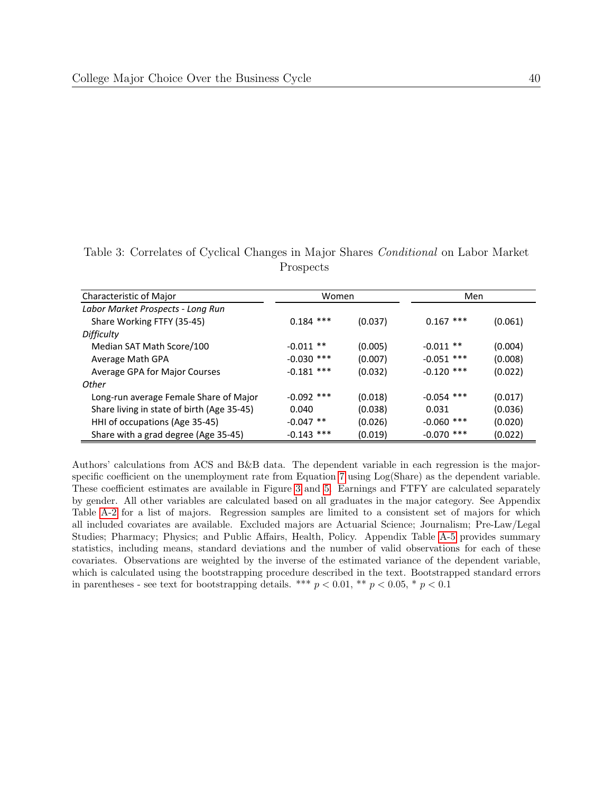| Characteristic of Major                    | Women        |         | Men          |         |
|--------------------------------------------|--------------|---------|--------------|---------|
| Labor Market Prospects - Long Run          |              |         |              |         |
| Share Working FTFY (35-45)                 | $0.184$ ***  | (0.037) | $0.167$ ***  | (0.061) |
| <b>Difficulty</b>                          |              |         |              |         |
| Median SAT Math Score/100                  | $-0.011$ **  | (0.005) | $-0.011$ **  | (0.004) |
| Average Math GPA                           | $-0.030$ *** | (0.007) | $-0.051$ *** | (0.008) |
| Average GPA for Major Courses              | $-0.181$ *** | (0.032) | $-0.120$ *** | (0.022) |
| Other                                      |              |         |              |         |
| Long-run average Female Share of Major     | $-0.092$ *** | (0.018) | $-0.054$ *** | (0.017) |
| Share living in state of birth (Age 35-45) | 0.040        | (0.038) | 0.031        | (0.036) |
| HHI of occupations (Age 35-45)             | $-0.047$ **  | (0.026) | $-0.060$ *** | (0.020) |
| Share with a grad degree (Age 35-45)       | $-0.143$ *** | (0.019) | $-0.070$ *** | (0.022) |

<span id="page-42-0"></span>Table 3: Correlates of Cyclical Changes in Major Shares Conditional on Labor Market Prospects

Authors' calculations from ACS and B&B data. The dependent variable in each regression is the majorspecific coefficient on the unemployment rate from Equation [7](#page-13-1) using Log(Share) as the dependent variable. These coefficient estimates are available in Figure [3](#page-35-0) and [5.](#page-37-0) Earnings and FTFY are calculated separately by gender. All other variables are calculated based on all graduates in the major category. See Appendix Table [A-2](#page-47-0) for a list of majors. Regression samples are limited to a consistent set of majors for which all included covariates are available. Excluded majors are Actuarial Science; Journalism; Pre-Law/Legal Studies; Pharmacy; Physics; and Public Affairs, Health, Policy. Appendix Table [A-5](#page-56-0) provides summary statistics, including means, standard deviations and the number of valid observations for each of these covariates. Observations are weighted by the inverse of the estimated variance of the dependent variable, which is calculated using the bootstrapping procedure described in the text. Bootstrapped standard errors in parentheses - see text for bootstrapping details. \*\*\*  $p < 0.01$ , \*\*  $p < 0.05$ , \*  $p < 0.1$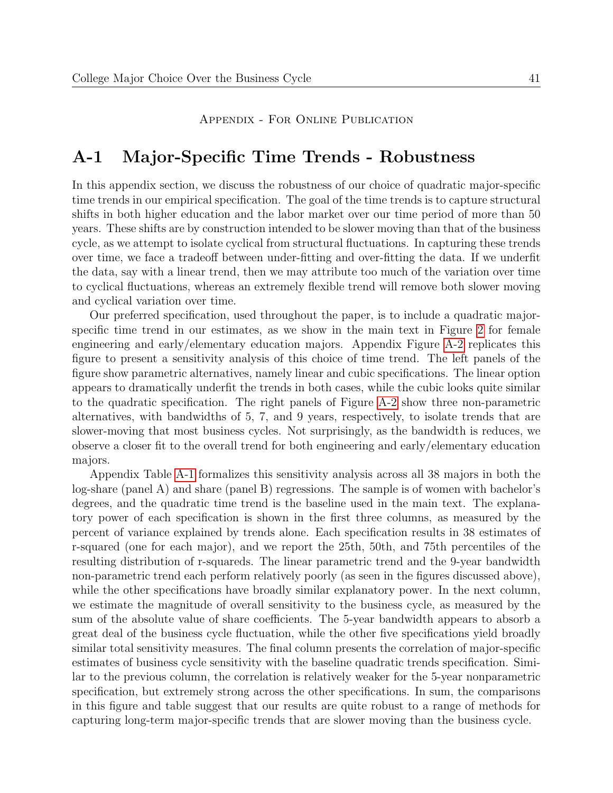#### Appendix - For Online Publication

# A-1 Major-Specific Time Trends - Robustness

In this appendix section, we discuss the robustness of our choice of quadratic major-specific time trends in our empirical specification. The goal of the time trends is to capture structural shifts in both higher education and the labor market over our time period of more than 50 years. These shifts are by construction intended to be slower moving than that of the business cycle, as we attempt to isolate cyclical from structural fluctuations. In capturing these trends over time, we face a tradeoff between under-fitting and over-fitting the data. If we underfit the data, say with a linear trend, then we may attribute too much of the variation over time to cyclical fluctuations, whereas an extremely flexible trend will remove both slower moving and cyclical variation over time.

Our preferred specification, used throughout the paper, is to include a quadratic majorspecific time trend in our estimates, as we show in the main text in Figure [2](#page-34-0) for female engineering and early/elementary education majors. Appendix Figure [A-2](#page-45-0) replicates this figure to present a sensitivity analysis of this choice of time trend. The left panels of the figure show parametric alternatives, namely linear and cubic specifications. The linear option appears to dramatically underfit the trends in both cases, while the cubic looks quite similar to the quadratic specification. The right panels of Figure [A-2](#page-45-0) show three non-parametric alternatives, with bandwidths of 5, 7, and 9 years, respectively, to isolate trends that are slower-moving that most business cycles. Not surprisingly, as the bandwidth is reduces, we observe a closer fit to the overall trend for both engineering and early/elementary education majors.

Appendix Table [A-1](#page-46-0) formalizes this sensitivity analysis across all 38 majors in both the log-share (panel A) and share (panel B) regressions. The sample is of women with bachelor's degrees, and the quadratic time trend is the baseline used in the main text. The explanatory power of each specification is shown in the first three columns, as measured by the percent of variance explained by trends alone. Each specification results in 38 estimates of r-squared (one for each major), and we report the 25th, 50th, and 75th percentiles of the resulting distribution of r-squareds. The linear parametric trend and the 9-year bandwidth non-parametric trend each perform relatively poorly (as seen in the figures discussed above), while the other specifications have broadly similar explanatory power. In the next column, we estimate the magnitude of overall sensitivity to the business cycle, as measured by the sum of the absolute value of share coefficients. The 5-year bandwidth appears to absorb a great deal of the business cycle fluctuation, while the other five specifications yield broadly similar total sensitivity measures. The final column presents the correlation of major-specific estimates of business cycle sensitivity with the baseline quadratic trends specification. Similar to the previous column, the correlation is relatively weaker for the 5-year nonparametric specification, but extremely strong across the other specifications. In sum, the comparisons in this figure and table suggest that our results are quite robust to a range of methods for capturing long-term major-specific trends that are slower moving than the business cycle.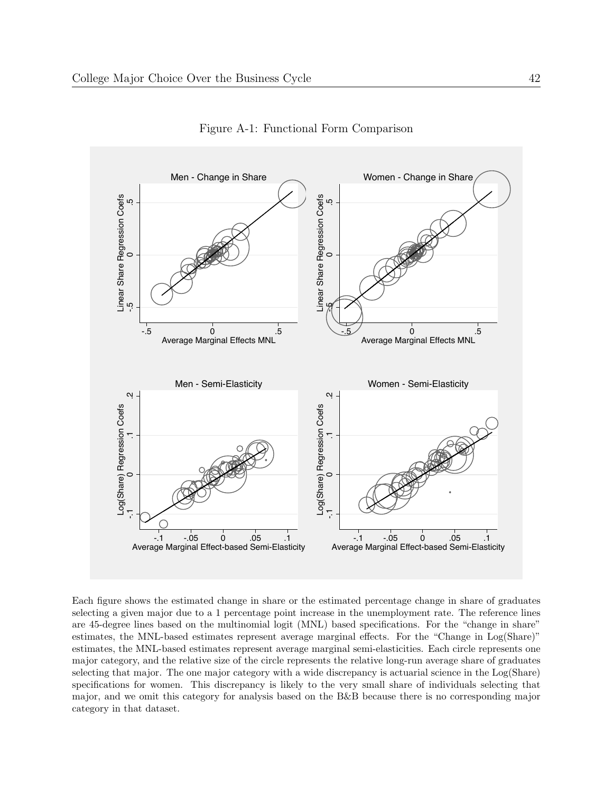<span id="page-44-0"></span>

Figure A-1: Functional Form Comparison

Each figure shows the estimated change in share or the estimated percentage change in share of graduates selecting a given major due to a 1 percentage point increase in the unemployment rate. The reference lines are 45-degree lines based on the multinomial logit (MNL) based specifications. For the "change in share" estimates, the MNL-based estimates represent average marginal effects. For the "Change in Log(Share)" estimates, the MNL-based estimates represent average marginal semi-elasticities. Each circle represents one major category, and the relative size of the circle represents the relative long-run average share of graduates selecting that major. The one major category with a wide discrepancy is actuarial science in the Log(Share) specifications for women. This discrepancy is likely to the very small share of individuals selecting that major, and we omit this category for analysis based on the B&B because there is no corresponding major category in that dataset.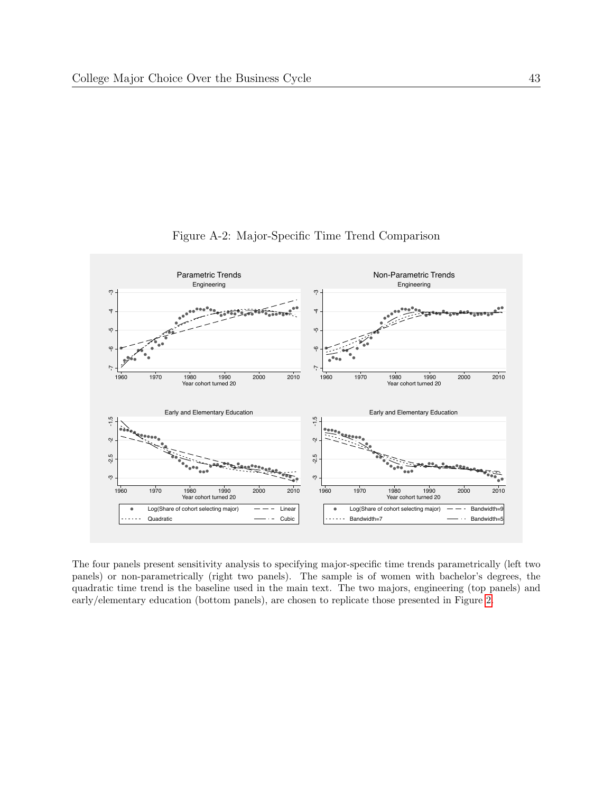<span id="page-45-0"></span>

Figure A-2: Major-Specific Time Trend Comparison

The four panels present sensitivity analysis to specifying major-specific time trends parametrically (left two panels) or non-parametrically (right two panels). The sample is of women with bachelor's degrees, the quadratic time trend is the baseline used in the main text. The two majors, engineering (top panels) and early/elementary education (bottom panels), are chosen to replicate those presented in Figure [2.](#page-34-0)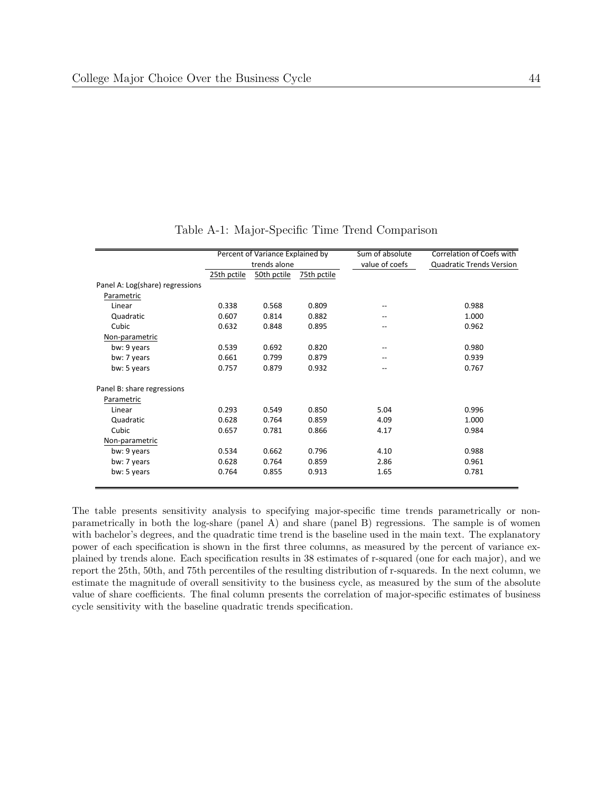<span id="page-46-0"></span>

|                                 |             | Percent of Variance Explained by |             | Sum of absolute | Correlation of Coefs with       |
|---------------------------------|-------------|----------------------------------|-------------|-----------------|---------------------------------|
|                                 |             | trends alone                     |             | value of coefs  | <b>Quadratic Trends Version</b> |
|                                 | 25th pctile | 50th pctile                      | 75th pctile |                 |                                 |
| Panel A: Log(share) regressions |             |                                  |             |                 |                                 |
| Parametric                      |             |                                  |             |                 |                                 |
| Linear                          | 0.338       | 0.568                            | 0.809       |                 | 0.988                           |
| Quadratic                       | 0.607       | 0.814                            | 0.882       |                 | 1.000                           |
| Cubic                           | 0.632       | 0.848                            | 0.895       | --              | 0.962                           |
| Non-parametric                  |             |                                  |             |                 |                                 |
| bw: 9 years                     | 0.539       | 0.692                            | 0.820       |                 | 0.980                           |
| bw: 7 years                     | 0.661       | 0.799                            | 0.879       |                 | 0.939                           |
| bw: 5 years                     | 0.757       | 0.879                            | 0.932       | --              | 0.767                           |
| Panel B: share regressions      |             |                                  |             |                 |                                 |
| Parametric                      |             |                                  |             |                 |                                 |
| Linear                          | 0.293       | 0.549                            | 0.850       | 5.04            | 0.996                           |
| Quadratic                       | 0.628       | 0.764                            | 0.859       | 4.09            | 1.000                           |
| Cubic                           | 0.657       | 0.781                            | 0.866       | 4.17            | 0.984                           |
| Non-parametric                  |             |                                  |             |                 |                                 |
| bw: 9 years                     | 0.534       | 0.662                            | 0.796       | 4.10            | 0.988                           |
| bw: 7 years                     | 0.628       | 0.764                            | 0.859       | 2.86            | 0.961                           |
| bw: 5 years                     | 0.764       | 0.855                            | 0.913       | 1.65            | 0.781                           |

Table A-1: Major-Specific Time Trend Comparison

The table presents sensitivity analysis to specifying major-specific time trends parametrically or nonparametrically in both the log-share (panel A) and share (panel B) regressions. The sample is of women with bachelor's degrees, and the quadratic time trend is the baseline used in the main text. The explanatory power of each specification is shown in the first three columns, as measured by the percent of variance explained by trends alone. Each specification results in 38 estimates of r-squared (one for each major), and we report the 25th, 50th, and 75th percentiles of the resulting distribution of r-squareds. In the next column, we estimate the magnitude of overall sensitivity to the business cycle, as measured by the sum of the absolute value of share coefficients. The final column presents the correlation of major-specific estimates of business cycle sensitivity with the baseline quadratic trends specification.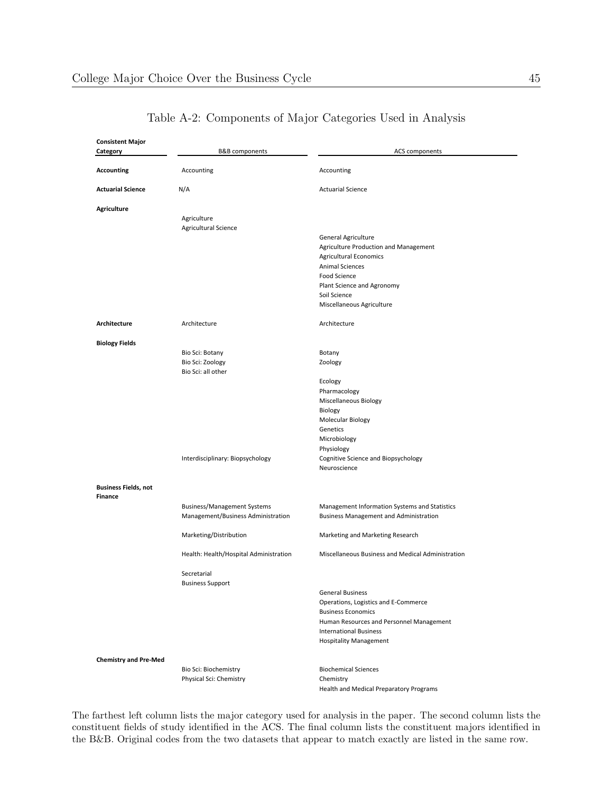<span id="page-47-0"></span>

| <b>Consistent Major</b>      |                                                                          |                                                                                                |
|------------------------------|--------------------------------------------------------------------------|------------------------------------------------------------------------------------------------|
| Category                     | B&B components                                                           | ACS components                                                                                 |
| <b>Accounting</b>            | Accounting                                                               | Accounting                                                                                     |
| <b>Actuarial Science</b>     | N/A                                                                      | <b>Actuarial Science</b>                                                                       |
| <b>Agriculture</b>           |                                                                          |                                                                                                |
|                              | Agriculture                                                              |                                                                                                |
|                              | Agricultural Science                                                     |                                                                                                |
|                              |                                                                          | <b>General Agriculture</b>                                                                     |
|                              |                                                                          | Agriculture Production and Management                                                          |
|                              |                                                                          | <b>Agricultural Economics</b>                                                                  |
|                              |                                                                          | <b>Animal Sciences</b>                                                                         |
|                              |                                                                          | Food Science<br>Plant Science and Agronomy                                                     |
|                              |                                                                          | Soil Science                                                                                   |
|                              |                                                                          | Miscellaneous Agriculture                                                                      |
| Architecture                 | Architecture                                                             | Architecture                                                                                   |
|                              |                                                                          |                                                                                                |
| <b>Biology Fields</b>        |                                                                          |                                                                                                |
|                              | Bio Sci: Botany                                                          | Botany                                                                                         |
|                              | Bio Sci: Zoology<br>Bio Sci: all other                                   | Zoology                                                                                        |
|                              |                                                                          | Ecology                                                                                        |
|                              |                                                                          | Pharmacology                                                                                   |
|                              |                                                                          | Miscellaneous Biology                                                                          |
|                              |                                                                          | Biology                                                                                        |
|                              |                                                                          | Molecular Biology                                                                              |
|                              |                                                                          | Genetics                                                                                       |
|                              |                                                                          | Microbiology                                                                                   |
|                              |                                                                          | Physiology                                                                                     |
|                              | Interdisciplinary: Biopsychology                                         | Cognitive Science and Biopsychology                                                            |
|                              |                                                                          | Neuroscience                                                                                   |
| <b>Business Fields, not</b>  |                                                                          |                                                                                                |
| <b>Finance</b>               |                                                                          |                                                                                                |
|                              | <b>Business/Management Systems</b><br>Management/Business Administration | Management Information Systems and Statistics<br><b>Business Management and Administration</b> |
|                              | Marketing/Distribution                                                   | Marketing and Marketing Research                                                               |
|                              | Health: Health/Hospital Administration                                   | Miscellaneous Business and Medical Administration                                              |
|                              | Secretarial                                                              |                                                                                                |
|                              | <b>Business Support</b>                                                  |                                                                                                |
|                              |                                                                          | <b>General Business</b>                                                                        |
|                              |                                                                          | Operations, Logistics and E-Commerce                                                           |
|                              |                                                                          | <b>Business Economics</b>                                                                      |
|                              |                                                                          | Human Resources and Personnel Management                                                       |
|                              |                                                                          | <b>International Business</b>                                                                  |
|                              |                                                                          | <b>Hospitality Management</b>                                                                  |
| <b>Chemistry and Pre-Med</b> |                                                                          |                                                                                                |
|                              | Bio Sci: Biochemistry                                                    | <b>Biochemical Sciences</b>                                                                    |
|                              | Physical Sci: Chemistry                                                  | Chemistry                                                                                      |

The farthest left column lists the major category used for analysis in the paper. The second column lists the constituent fields of study identified in the ACS. The final column lists the constituent majors identified in the B&B. Original codes from the two datasets that appear to match exactly are listed in the same row.

Health and Medical Preparatory Programs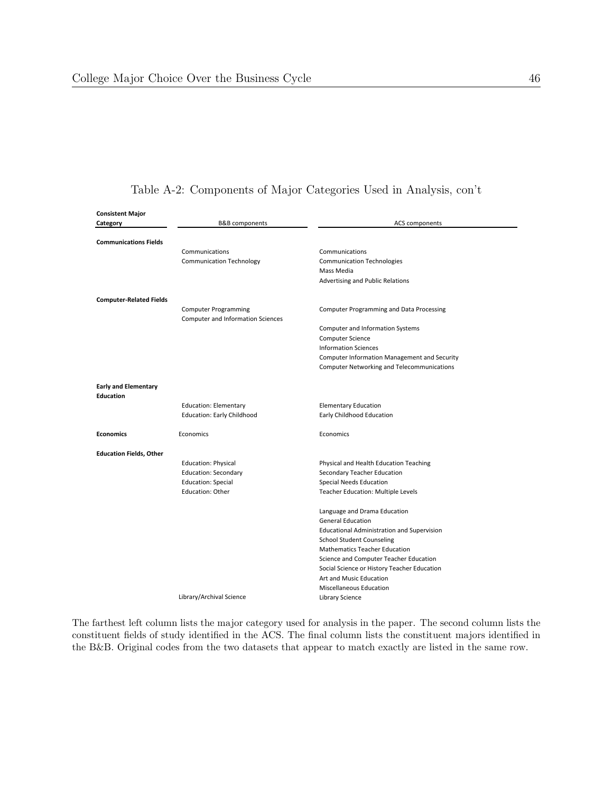| <b>Consistent Major</b>        |                                          |                                                   |
|--------------------------------|------------------------------------------|---------------------------------------------------|
| Category                       | B&B components                           | <b>ACS components</b>                             |
|                                |                                          |                                                   |
| <b>Communications Fields</b>   |                                          |                                                   |
|                                | Communications                           | Communications                                    |
|                                | <b>Communication Technology</b>          | <b>Communication Technologies</b>                 |
|                                |                                          | Mass Media                                        |
|                                |                                          | Advertising and Public Relations                  |
| <b>Computer-Related Fields</b> |                                          |                                                   |
|                                | <b>Computer Programming</b>              | Computer Programming and Data Processing          |
|                                | <b>Computer and Information Sciences</b> |                                                   |
|                                |                                          | <b>Computer and Information Systems</b>           |
|                                |                                          | <b>Computer Science</b>                           |
|                                |                                          | <b>Information Sciences</b>                       |
|                                |                                          | Computer Information Management and Security      |
|                                |                                          | Computer Networking and Telecommunications        |
| <b>Early and Elementary</b>    |                                          |                                                   |
| <b>Education</b>               |                                          |                                                   |
|                                | <b>Education: Elementary</b>             | <b>Elementary Education</b>                       |
|                                | <b>Education: Early Childhood</b>        | Early Childhood Education                         |
|                                |                                          |                                                   |
| <b>Economics</b>               | Economics                                | Economics                                         |
| <b>Education Fields, Other</b> |                                          |                                                   |
|                                | <b>Education: Physical</b>               | Physical and Health Education Teaching            |
|                                | <b>Education: Secondary</b>              | Secondary Teacher Education                       |
|                                | <b>Education: Special</b>                | Special Needs Education                           |
|                                | <b>Education: Other</b>                  | Teacher Education: Multiple Levels                |
|                                |                                          | Language and Drama Education                      |
|                                |                                          | <b>General Education</b>                          |
|                                |                                          | <b>Educational Administration and Supervision</b> |
|                                |                                          | <b>School Student Counseling</b>                  |
|                                |                                          | <b>Mathematics Teacher Education</b>              |
|                                |                                          | Science and Computer Teacher Education            |
|                                |                                          | Social Science or History Teacher Education       |
|                                |                                          | Art and Music Education                           |
|                                |                                          | Miscellaneous Education                           |
|                                | Library/Archival Science                 | Library Science                                   |
|                                |                                          |                                                   |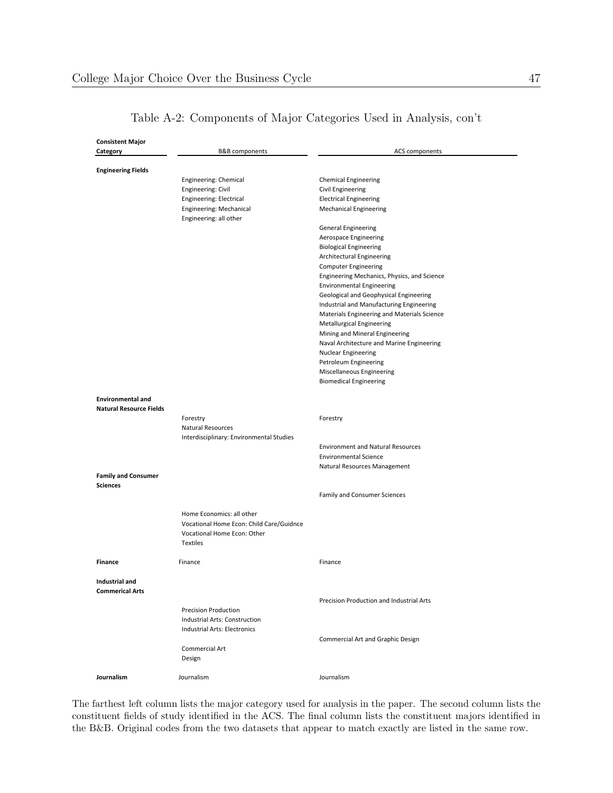| <b>Consistent Major</b><br>Category | B&B components                                    | ACS components                                   |
|-------------------------------------|---------------------------------------------------|--------------------------------------------------|
| <b>Engineering Fields</b>           |                                                   |                                                  |
|                                     | Engineering: Chemical<br>Engineering: Civil       | <b>Chemical Engineering</b><br>Civil Engineering |
|                                     | Engineering: Electrical                           | <b>Electrical Engineering</b>                    |
|                                     | Engineering: Mechanical<br>Engineering: all other | <b>Mechanical Engineering</b>                    |
|                                     |                                                   | General Engineering                              |
|                                     |                                                   | Aerospace Engineering                            |
|                                     |                                                   | <b>Biological Engineering</b>                    |
|                                     |                                                   | Architectural Engineering                        |
|                                     |                                                   | <b>Computer Engineering</b>                      |
|                                     |                                                   | Engineering Mechanics, Physics, and Science      |
|                                     |                                                   | <b>Environmental Engineering</b>                 |
|                                     |                                                   | Geological and Geophysical Engineering           |
|                                     |                                                   | Industrial and Manufacturing Engineering         |
|                                     |                                                   | Materials Engineering and Materials Science      |
|                                     |                                                   | <b>Metallurgical Engineering</b>                 |
|                                     |                                                   | Mining and Mineral Engineering                   |
|                                     |                                                   | Naval Architecture and Marine Engineering        |
|                                     |                                                   | <b>Nuclear Engineering</b>                       |
|                                     |                                                   | Petroleum Engineering                            |
|                                     |                                                   | Miscellaneous Engineering                        |
|                                     |                                                   | <b>Biomedical Engineering</b>                    |
| <b>Environmental and</b>            |                                                   |                                                  |
| <b>Natural Resource Fields</b>      |                                                   |                                                  |
|                                     | Forestry                                          | Forestry                                         |
|                                     | <b>Natural Resources</b>                          |                                                  |
|                                     | Interdisciplinary: Environmental Studies          | <b>Environment and Natural Resources</b>         |
|                                     |                                                   | <b>Environmental Science</b>                     |
|                                     |                                                   | Natural Resources Management                     |
| <b>Family and Consumer</b>          |                                                   |                                                  |
| <b>Sciences</b>                     |                                                   |                                                  |
|                                     |                                                   | Family and Consumer Sciences                     |
|                                     | Home Economics: all other                         |                                                  |
|                                     | Vocational Home Econ: Child Care/Guidnce          |                                                  |
|                                     | Vocational Home Econ: Other                       |                                                  |
|                                     | <b>Textiles</b>                                   |                                                  |
| <b>Finance</b>                      | Finance                                           |                                                  |
|                                     |                                                   | Finance                                          |
| Industrial and                      |                                                   |                                                  |
| <b>Commerical Arts</b>              |                                                   |                                                  |
|                                     |                                                   | Precision Production and Industrial Arts         |
|                                     | <b>Precision Production</b>                       |                                                  |
|                                     | Industrial Arts: Construction                     |                                                  |
|                                     | Industrial Arts: Electronics                      |                                                  |
|                                     | <b>Commercial Art</b>                             | Commercial Art and Graphic Design                |
|                                     | Design                                            |                                                  |
|                                     |                                                   |                                                  |
| Journalism                          | Journalism                                        | Journalism                                       |
|                                     |                                                   |                                                  |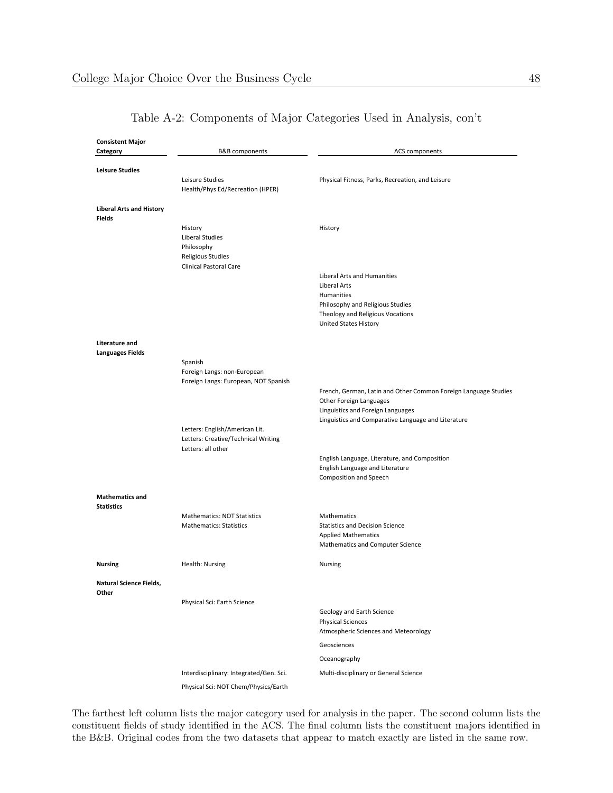| <b>Consistent Major</b><br>Category | B&B components                                                      | ACS components                                                       |
|-------------------------------------|---------------------------------------------------------------------|----------------------------------------------------------------------|
| <b>Leisure Studies</b>              |                                                                     |                                                                      |
|                                     | Leisure Studies                                                     | Physical Fitness, Parks, Recreation, and Leisure                     |
|                                     | Health/Phys Ed/Recreation (HPER)                                    |                                                                      |
| <b>Liberal Arts and History</b>     |                                                                     |                                                                      |
| <b>Fields</b>                       |                                                                     |                                                                      |
|                                     | History                                                             | History                                                              |
|                                     | Liberal Studies<br>Philosophy                                       |                                                                      |
|                                     | Religious Studies                                                   |                                                                      |
|                                     | <b>Clinical Pastoral Care</b>                                       |                                                                      |
|                                     |                                                                     | Liberal Arts and Humanities                                          |
|                                     |                                                                     | Liberal Arts                                                         |
|                                     |                                                                     | Humanities                                                           |
|                                     |                                                                     | Philosophy and Religious Studies                                     |
|                                     |                                                                     | Theology and Religious Vocations<br><b>United States History</b>     |
| <b>Literature and</b>               |                                                                     |                                                                      |
| <b>Languages Fields</b>             |                                                                     |                                                                      |
|                                     | Spanish                                                             |                                                                      |
|                                     | Foreign Langs: non-European<br>Foreign Langs: European, NOT Spanish |                                                                      |
|                                     |                                                                     | French, German, Latin and Other Common Foreign Language Studies      |
|                                     |                                                                     | Other Foreign Languages                                              |
|                                     |                                                                     | Linguistics and Foreign Languages                                    |
|                                     |                                                                     | Linguistics and Comparative Language and Literature                  |
|                                     | Letters: English/American Lit.                                      |                                                                      |
|                                     | Letters: Creative/Technical Writing<br>Letters: all other           |                                                                      |
|                                     |                                                                     | English Language, Literature, and Composition                        |
|                                     |                                                                     | English Language and Literature                                      |
|                                     |                                                                     | Composition and Speech                                               |
| <b>Mathematics and</b>              |                                                                     |                                                                      |
| <b>Statistics</b>                   |                                                                     |                                                                      |
|                                     | Mathematics: NOT Statistics<br><b>Mathematics: Statistics</b>       | Mathematics                                                          |
|                                     |                                                                     | <b>Statistics and Decision Science</b><br><b>Applied Mathematics</b> |
|                                     |                                                                     | Mathematics and Computer Science                                     |
| <b>Nursing</b>                      | Health: Nursing                                                     | Nursing                                                              |
| Natural Science Fields,             |                                                                     |                                                                      |
| Other                               | Physical Sci: Earth Science                                         |                                                                      |
|                                     |                                                                     | Geology and Earth Science                                            |
|                                     |                                                                     | <b>Physical Sciences</b>                                             |
|                                     |                                                                     | Atmospheric Sciences and Meteorology                                 |
|                                     |                                                                     | Geosciences                                                          |
|                                     |                                                                     | Oceanography                                                         |
|                                     | Interdisciplinary: Integrated/Gen. Sci.                             | Multi-disciplinary or General Science                                |
|                                     | Physical Sci: NOT Chem/Physics/Earth                                |                                                                      |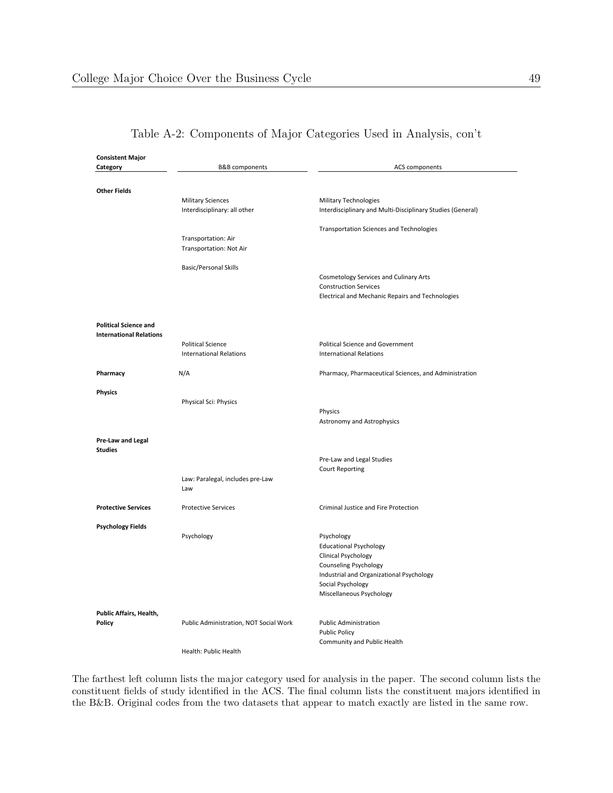| <b>Consistent Major</b>                                        |                                        |                                                            |
|----------------------------------------------------------------|----------------------------------------|------------------------------------------------------------|
| Category                                                       | B&B components                         | <b>ACS components</b>                                      |
|                                                                |                                        |                                                            |
| <b>Other Fields</b>                                            |                                        |                                                            |
|                                                                | <b>Military Sciences</b>               | <b>Military Technologies</b>                               |
|                                                                | Interdisciplinary: all other           | Interdisciplinary and Multi-Disciplinary Studies (General) |
|                                                                |                                        | <b>Transportation Sciences and Technologies</b>            |
|                                                                | Transportation: Air                    |                                                            |
|                                                                | Transportation: Not Air                |                                                            |
|                                                                | <b>Basic/Personal Skills</b>           |                                                            |
|                                                                |                                        | Cosmetology Services and Culinary Arts                     |
|                                                                |                                        | <b>Construction Services</b>                               |
|                                                                |                                        | Electrical and Mechanic Repairs and Technologies           |
|                                                                |                                        |                                                            |
| <b>Political Science and</b><br><b>International Relations</b> |                                        |                                                            |
|                                                                | <b>Political Science</b>               | <b>Political Science and Government</b>                    |
|                                                                | <b>International Relations</b>         | <b>International Relations</b>                             |
|                                                                | N/A                                    | Pharmacy, Pharmaceutical Sciences, and Administration      |
| Pharmacy                                                       |                                        |                                                            |
| <b>Physics</b>                                                 |                                        |                                                            |
|                                                                | Physical Sci: Physics                  |                                                            |
|                                                                |                                        | Physics<br><b>Astronomy and Astrophysics</b>               |
|                                                                |                                        |                                                            |
| Pre-Law and Legal                                              |                                        |                                                            |
| <b>Studies</b>                                                 |                                        |                                                            |
|                                                                |                                        | Pre-Law and Legal Studies                                  |
|                                                                |                                        | <b>Court Reporting</b>                                     |
|                                                                | Law: Paralegal, includes pre-Law       |                                                            |
|                                                                | Law                                    |                                                            |
| <b>Protective Services</b>                                     | <b>Protective Services</b>             | Criminal Justice and Fire Protection                       |
| <b>Psychology Fields</b>                                       |                                        |                                                            |
|                                                                | Psychology                             | Psychology                                                 |
|                                                                |                                        | <b>Educational Psychology</b>                              |
|                                                                |                                        | Clinical Psychology                                        |
|                                                                |                                        | Counseling Psychology                                      |
|                                                                |                                        | Industrial and Organizational Psychology                   |
|                                                                |                                        | Social Psychology                                          |
|                                                                |                                        | Miscellaneous Psychology                                   |
| Public Affairs, Health,                                        |                                        |                                                            |
| Policy                                                         | Public Administration, NOT Social Work | <b>Public Administration</b>                               |
|                                                                |                                        | <b>Public Policy</b>                                       |
|                                                                |                                        | Community and Public Health                                |

Health: Public Health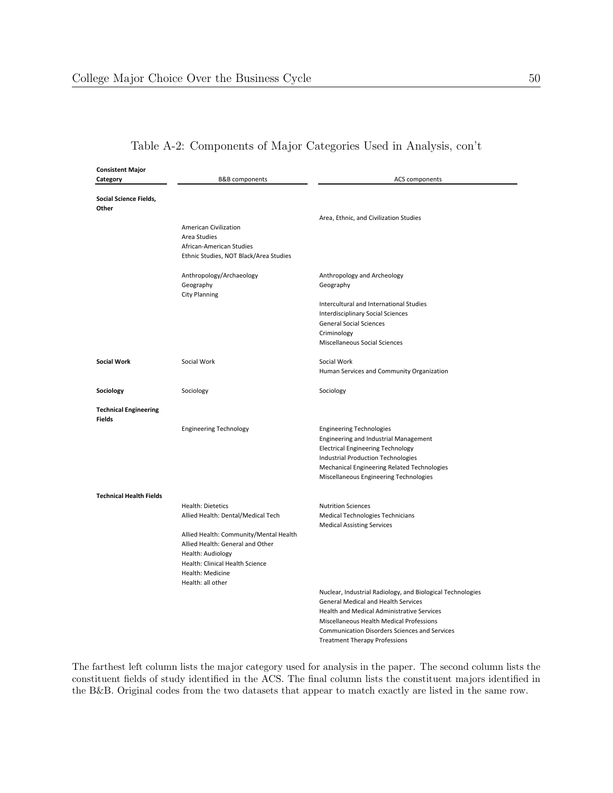| <b>Consistent Major</b>        |                                        |                                                                                   |
|--------------------------------|----------------------------------------|-----------------------------------------------------------------------------------|
| Category                       | B&B components                         | ACS components                                                                    |
|                                |                                        |                                                                                   |
| Social Science Fields,         |                                        |                                                                                   |
| Other                          |                                        |                                                                                   |
|                                | American Civilization                  | Area, Ethnic, and Civilization Studies                                            |
|                                | Area Studies                           |                                                                                   |
|                                | African-American Studies               |                                                                                   |
|                                | Ethnic Studies, NOT Black/Area Studies |                                                                                   |
|                                |                                        |                                                                                   |
|                                | Anthropology/Archaeology               | Anthropology and Archeology                                                       |
|                                | Geography                              | Geography                                                                         |
|                                | <b>City Planning</b>                   |                                                                                   |
|                                |                                        | Intercultural and International Studies                                           |
|                                |                                        | Interdisciplinary Social Sciences                                                 |
|                                |                                        | <b>General Social Sciences</b>                                                    |
|                                |                                        | Criminology                                                                       |
|                                |                                        | Miscellaneous Social Sciences                                                     |
| <b>Social Work</b>             | Social Work                            | Social Work                                                                       |
|                                |                                        | Human Services and Community Organization                                         |
|                                |                                        |                                                                                   |
| Sociology                      | Sociology                              | Sociology                                                                         |
|                                |                                        |                                                                                   |
| <b>Technical Engineering</b>   |                                        |                                                                                   |
| <b>Fields</b>                  |                                        |                                                                                   |
|                                | <b>Engineering Technology</b>          | <b>Engineering Technologies</b>                                                   |
|                                |                                        | Engineering and Industrial Management<br><b>Electrical Engineering Technology</b> |
|                                |                                        | Industrial Production Technologies                                                |
|                                |                                        | Mechanical Engineering Related Technologies                                       |
|                                |                                        | Miscellaneous Engineering Technologies                                            |
|                                |                                        |                                                                                   |
| <b>Technical Health Fields</b> |                                        |                                                                                   |
|                                | <b>Health: Dietetics</b>               | <b>Nutrition Sciences</b>                                                         |
|                                | Allied Health: Dental/Medical Tech     | Medical Technologies Technicians                                                  |
|                                |                                        | <b>Medical Assisting Services</b>                                                 |
|                                | Allied Health: Community/Mental Health |                                                                                   |
|                                | Allied Health: General and Other       |                                                                                   |
|                                | Health: Audiology                      |                                                                                   |
|                                | Health: Clinical Health Science        |                                                                                   |
|                                | Health: Medicine<br>Health: all other  |                                                                                   |
|                                |                                        | Nuclear, Industrial Radiology, and Biological Technologies                        |
|                                |                                        | <b>General Medical and Health Services</b>                                        |
|                                |                                        | <b>Health and Medical Administrative Services</b>                                 |
|                                |                                        | Miscellaneous Health Medical Professions                                          |
|                                |                                        | <b>Communication Disorders Sciences and Services</b>                              |

The farthest left column lists the major category used for analysis in the paper. The second column lists the constituent fields of study identified in the ACS. The final column lists the constituent majors identified in the B&B. Original codes from the two datasets that appear to match exactly are listed in the same row.

**Treatment Therapy Professions**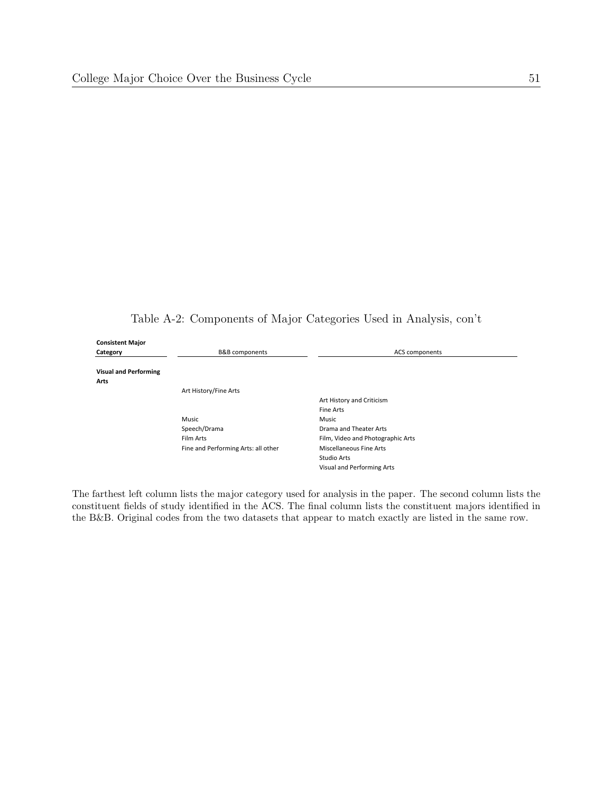Table A-2: Components of Major Categories Used in Analysis, con't

| <b>Consistent Major</b>      |                                     |                                   |
|------------------------------|-------------------------------------|-----------------------------------|
| Category                     | <b>B&amp;B</b> components           | ACS components                    |
|                              |                                     |                                   |
| <b>Visual and Performing</b> |                                     |                                   |
| Arts                         |                                     |                                   |
|                              | Art History/Fine Arts               |                                   |
|                              |                                     | Art History and Criticism         |
|                              |                                     | <b>Fine Arts</b>                  |
|                              | Music                               | Music                             |
|                              | Speech/Drama                        | Drama and Theater Arts            |
|                              | Film Arts                           | Film, Video and Photographic Arts |
|                              | Fine and Performing Arts: all other | Miscellaneous Fine Arts           |
|                              |                                     | Studio Arts                       |
|                              |                                     | Visual and Performing Arts        |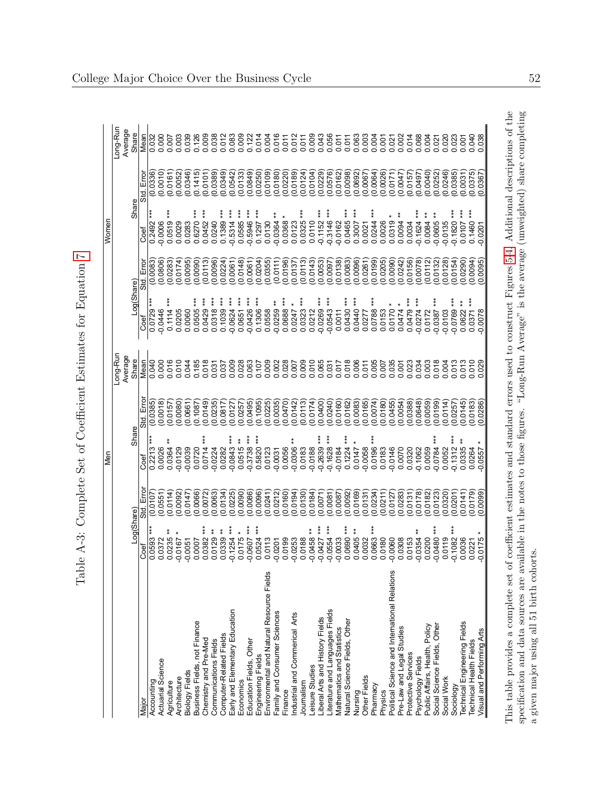<span id="page-54-0"></span>

| l                                                                                                                                       |
|-----------------------------------------------------------------------------------------------------------------------------------------|
| $-1$<br>l<br>I<br>I<br>)<br>I<br>ļ<br>ļ                                                                                                 |
| ۔<br>ح<br>;<br>ł                                                                                                                        |
| .<br>ג<br>$\sim$<br>֖֖֖֧֖ׅׅ֖ׅ֖֧֧ׅ֖֧֖֧֚֚֚֚֚֚֚֚֚֚֚֚֚֚֚֚֚֚֚֚֚֚֚֚֚֚֚֚֚֚֡֝֝֬֓֝֓֞֝֬֝֬֝                                                        |
| I<br>$\frac{1}{2}$<br>j<br>I<br>)<br> <br> <br>$\overline{ }$                                                                           |
|                                                                                                                                         |
| $\frac{1}{2}$<br>$\zeta$                                                                                                                |
| $\frac{1}{1}$                                                                                                                           |
| $-10+2$<br>I<br>ł.<br>i<br>İ<br>ζ                                                                                                       |
| j<br>l<br>Í                                                                                                                             |
| $\overline{\phantom{a}}$<br>$\frac{1}{2}$<br>֧֧֧֧֧֦֧֧֧֧֧֧֧֧֧֧֦֧֧֧֧֓֓֝֟֓֓֝֬֟֓֓֓֝֬֟֓֓֝֬֓֩֩֓֓֟֩֩֓֓֝֬֓֓<br>֧֧֧֛֛֛֛֛֛֛֛֪֪֜֜֜֜֜֜֜֜֜֜֜֝֩֕<br>ì |

|                                               |                        |                    | §                          |                    |                     |                          |                    | Women                   |                      |                     |
|-----------------------------------------------|------------------------|--------------------|----------------------------|--------------------|---------------------|--------------------------|--------------------|-------------------------|----------------------|---------------------|
|                                               |                        |                    |                            |                    | Long-Run<br>Average |                          |                    |                         |                      | Long-Run<br>Average |
|                                               | Log(Share)             |                    | Share                      |                    | Share               | Log(Share)               |                    | Share                   |                      | Share               |
| Major                                         | Coef                   | Std. Erro          | coef                       | Std. Erro          | Mean                | Coef                     | Std. Error         | Coef                    | Std. Error           | Mean                |
| Actuarial Science<br>Accounting               | $0.0593$ ***<br>0.0372 | (0.0107)<br>0.0551 | ***<br>0.2213<br>0.0026    | (0.0385)<br>0.0018 | 0.040<br>0.000      | $0.0729***$<br>$-0.0446$ | (0.0083)<br>0.0806 | 0.2492<br>$-0.0006$     | (0.0336)<br>(0.0010) | 0.032<br>0.000      |
| Agriculture                                   | $0.0235**$             | (0.0114)           | 0.0364                     | 0.0157             | 0.016               | $0.1114***$              | (0.0283)           | $* * *$<br>0.0519       | (0.0161)             | 0.007               |
| Architecture                                  | $-0.0167$              | 0.0092             | $-0.0129$                  | 0.0080             | 0.010               | 0.0205                   | 0.0174             | 0.0029                  | (0.0052)             | 0.003               |
| <b>Biology Fields</b>                         | $-0.0051$              | 0.0147             | $-0.0039$                  | 0.0661             | 0.044               | 0.0060                   | 0.0095)            | 0.0283                  | 0.0346               | 0.039               |
| Business Fields, not Finance                  | 0.0007                 | (0.0066)           | 0.0720                     | 0.1087             | 0.185               | $0.0505***$              | 0.0090             | $***$<br>0.6270         | (0.1415)             | 0.126               |
| Chemistry and Pre-Med                         | $***$<br>0.0382        | (0.0072)           | 0.0714                     | 0.0149             | 0.018               | $0.0429***$              | 0.0113             | 0.0452                  | (0.0101)             | 0.009               |
| Communications Fields                         | $0.0129$ **            | 0.0063             | $-0.0224$                  | 0.0235)            | 0.031               | $0.0318***$              | 0.0096             | 0.0240                  | 0.0389               | 0.038               |
| Computer-Related Fields                       | $0.0339**$             | 0.0134             | 0.0282                     | 0.0817             | 0.037               | $0.1039***$              | (0.0224)           | $0.1389***$             | (0.0349)             | 0.012               |
| Early and Elementary Education                | $-0.1254$ ***          | (0.0225)           | $-0.0843$ ***              | 0.0127             | 0.009               | $-0.0624$ ***            | 0.0061             | $-0.5314$ ***           | (0.0542)             | 0.083               |
| Economics                                     | $0.0175*$              | 0.0090             | $0.0515**$                 | 0.0257             | 0.028               | $0.0651***$              | 0.0148             | $0.0585***$             | (0.0133)             | 0.009               |
| Education Fields, Other                       | $-0.0607$ ***          | 0.0086             | $-0.3738$ ***              | (0.0495)           | 0.063               | $-0.0426$ ***            | 0.0061             | $-0.5946$ **            | (0.0849)             | 0.122               |
| Engineering Fields                            | $0.0524***$            | 0.0096             | $0.5820***$                | (0.1095)           | 0.107               | $0.1306***$              | (0.0204)           | $0.1297***$             | (0.0250)             | 0.014               |
| Environmental and Natural Resource Fields     | 0.0113                 | 0.0241             | 0.0123                     | (0.0225)           | 0.009               | 0.0558                   | 0.0355             | 0.0130                  | (6010.0)             | 0.004               |
| Family and Consumer Sciences                  | $-0.0201$              | 0.0212             | $-0.0031$                  | 0.0035             | 0.002               | $-0.0259$ **             | (0.0111)           | $-0.0364$ **            | (0.0180)             | 0.016               |
| Finance                                       | 0.0199                 | (0.0160)           | 0.0056                     | (0.0470)           | 0.028               | $0.0688***$              | (0.0196)           | $0.0368$ *              | (0.0220)             | 0.011               |
| Industrial and Commerical Arts                | $-0.0253$              | 0.0194             | $\frac{*}{*}$<br>$-0.0306$ | (0.0142)           | 0.007               | $0.0247$ *               | 0.0137             | 0.0123                  | (0.0189)             | 0.012               |
| Journalism                                    | 0.0188                 | (0.0130)           | 0.0183                     | (0.0113)           | 0.009               | $0.0323***$              | 0.0113             | $0.0325***$             | (0.0124)             | 0.011               |
| Leisure Studies                               | $-0.0458**$            | 0.0184             | $-0.0188$                  | (0.0174)           | 0.010               | 0.0212                   | (0.0143)           | 0.0110                  | (0.0104)             | 0.009               |
| liberal Arts and History Fields               | $-0.0427$ ***          | (0.0071)           | $-0.2639$ ***              | 0.0400             | 0.065               | $-0.0269$ ***            | 0.0053             | $-0.1152$ ***           | (0.0229)             | 0.043               |
| iterature and Languages Fields                | $-0.0554***$           | 0.0081             | $-0.1628$ ***              | 0.0240             | 0.031               | $-0.0543$ ***            | 0.0097             | $-0.3146$ ***           | (0.0576)             | 0.056               |
| Mathematics and Statistics                    | $-0.0033$              | (0.0087)           | $-0.0184$                  | (0.0160)           | 0.017               | 0.0011                   | (0.0138)           | $-0.0162$               | (0.0162)             | 0.011               |
| Natural Science Fields, Other                 | $0.0690***$            | 0.0092             | $0.1224***$                | (0.0162)           | 0.018               | $0.0430***$              | 0.0083             | $0.0465***$             | (0.0098)             | 0.011               |
| Nursing<br>Other Fields                       | $0.0405**$             | 0.0169             | $0.0147$ *                 | 0.0083             | 0.006               | $0.0440***$              | 0.0096)            | $0.3007$ ***            | (0.0692)             | 0.063               |
|                                               | 0.0032                 | 0.0131             | $-0.0058$                  | (0.0165)           | 0.011               | 0.0277                   | 0.0261             | 0.0021                  | (0.0067)             | 0.003               |
| Pharmacy                                      | 0.0663 ***             | 0.0234             | $0.0196***$                | (0.0074)           | 0.005               | $0.0788***$              | 0.0199             | $0.0244***$             | (0.0064)             | 0.004               |
| Physics                                       | 0.0180                 | (0.0211)           | 0.0183                     | (0.0180)           | 0.007               | 0.0153                   | 0.0205             | 0.0026                  | (0.0026)             | 0.001               |
| Political Science and International Relations | $-0.0060$              | 0.0127             | $-0.0146$                  | (0.0455)           | 0.035               | $0.0170 *$               | 0.0090             | $0.0319*$               | (0.0171)             | 0.021               |
| Pre-Law and Legal Studies                     | 0.0308                 | 0.0283             | 0.0070                     | (0.0054)           | 0.001               | $0.0474$ *               | 0.0242             | $0.0004$ **             | (0.0047)             | 0.002               |
| Protective Services                           | 0.0153                 | 0.0131             | 0.0320                     | 0.0388)            | 0.023               | $0.0479***$              | 0.0156)            | 0.0034                  | (0.0157)             | 0.014               |
| Psychology Fields                             | $-0.0354$              | 0.0178             | $-0.1062$                  | 0.0648             | 0.034               | $-0.0274$                | 0.0078             | $-0.1624$ ***           | 78497                | 0.068               |
| Public Affairs, Health, Policy                | 0.0200                 | (0.0182)           | 0.0059                     | 0.0059             | 0.003               | 0.0172                   | 0.0112             | 0.0084                  | (0.0040)             | 0.004               |
| Social Science Fields, Other                  | $-0.0480$ ***          | 0.0123             | ***<br>$-0.0784$           | 0.0199             | 0.018               | $-0.0387***$             | 0.0132             | $\ddot{*}$<br>$-0.0605$ | (0.0252)             | 0.021               |
| Social Work                                   | 0.0119                 | 0.0320             | 0.0052                     | 0.0114             | 0.004               | $-0.0103$                | 0.0128             | $-0.0135$               | (0.0246)             | 0.020               |
| Sociology                                     | $-0.1082$ ***          | (0.0201)           | $-0.1312***$               | 0.0257             | 0.013               | $-0.0769$ ***            | 0.0154             | $-0.1820$ ***           | (0.0385)             | 0.023               |
| Technical Engineering Fields                  | 0.0036                 | 0.0141             | $0.0335**$                 | 0.0145)            | 0.013               | $0.0622**$               | 0.0290             | $0.0107***$             | (0.0031)             | 0.001               |
| Technical Health Fields                       | 0.0221                 | 0.0179             | 0.0264                     | 0.0183             | 0.010               | $0.0371***$              | 0.0094             | $0.1460***$             | (0.0375)             | 0.040               |
| Visual and Performing Arts                    | $-0.0175$              | 0.0099             | $-0.0557$                  | 0.0286             | 0.029               | $-0.0078$                | 0.0095             | $-0.0201$               | (0.0367              | 0.038               |
|                                               |                        |                    |                            |                    |                     |                          |                    |                         |                      |                     |

 $\underline{\text{Collect } \text{Major Choice Over the Business Cycle}} \qquad \qquad \textbf{52}$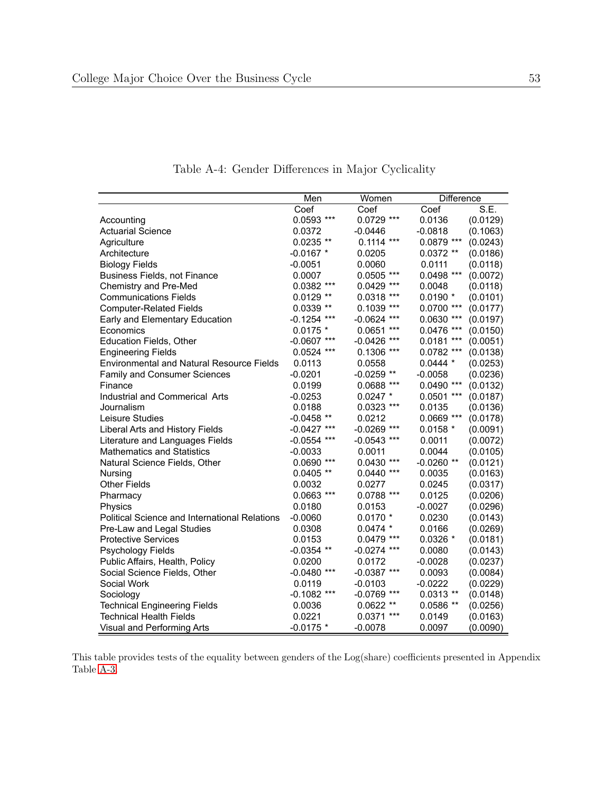<span id="page-55-0"></span>

|                                                      | Men           | Women              | <b>Difference</b> |          |
|------------------------------------------------------|---------------|--------------------|-------------------|----------|
|                                                      | Coef          | Coef               | Coef              | S.E.     |
| Accounting                                           | $0.0593$ ***  | 0.0729 ***         | 0.0136            | (0.0129) |
| <b>Actuarial Science</b>                             | 0.0372        | $-0.0446$          | $-0.0818$         | (0.1063) |
| Agriculture                                          | $0.0235**$    | $0.1114$ ***       | $0.0879$ ***      | (0.0243) |
| Architecture                                         | $-0.0167$ *   | 0.0205             | $0.0372**$        | (0.0186) |
| <b>Biology Fields</b>                                | $-0.0051$     | 0.0060             | 0.0111            | (0.0118) |
| Business Fields, not Finance                         | 0.0007        | $0.0505$ ***       | 0.0498 ***        | (0.0072) |
| Chemistry and Pre-Med                                | $0.0382$ ***  | $0.0429$ ***       | 0.0048            | (0.0118) |
| <b>Communications Fields</b>                         | $0.0129**$    | $0.0318$ ***       | $0.0190 *$        | (0.0101) |
| <b>Computer-Related Fields</b>                       | $0.0339**$    | $0.1039$ ***       | $0.0700$ ***      | (0.0177) |
| Early and Elementary Education                       | $-0.1254$ *** | $-0.0624$ ***      | $0.0630$ ***      | (0.0197) |
| Economics                                            | $0.0175$ *    | 0.0651<br>$***$    | $0.0476$ ***      | (0.0150) |
| <b>Education Fields, Other</b>                       | $-0.0607$ *** | $***$<br>$-0.0426$ | $***$<br>0.0181   | (0.0051) |
| <b>Engineering Fields</b>                            | $0.0524$ ***  | 0.1306 ***         | $0.0782$ ***      | (0.0138) |
| <b>Environmental and Natural Resource Fields</b>     | 0.0113        | 0.0558             | $0.0444*$         | (0.0253) |
| Family and Consumer Sciences                         | $-0.0201$     | $-0.0259$ **       | $-0.0058$         | (0.0236) |
| Finance                                              | 0.0199        | 0.0688 ***         | $0.0490$ ***      | (0.0132) |
| Industrial and Commerical Arts                       | $-0.0253$     | $0.0247$ *         | $0.0501$ ***      | (0.0187) |
| Journalism                                           | 0.0188        | $0.0323$ ***       | 0.0135            | (0.0136) |
| Leisure Studies                                      | $-0.0458$ **  | 0.0212             | $0.0669$ ***      | (0.0178) |
| Liberal Arts and History Fields                      | $-0.0427$ *** | $-0.0269$ ***      | $0.0158 *$        | (0.0091) |
| Literature and Languages Fields                      | $-0.0554$ *** | $-0.0543$ ***      | 0.0011            | (0.0072) |
| <b>Mathematics and Statistics</b>                    | $-0.0033$     | 0.0011             | 0.0044            | (0.0105) |
| Natural Science Fields, Other                        | $0.0690$ ***  | $0.0430$ ***       | $-0.0260**$       | (0.0121) |
| Nursing                                              | $0.0405$ **   | $0.0440$ ***       | 0.0035            | (0.0163) |
| <b>Other Fields</b>                                  | 0.0032        | 0.0277             | 0.0245            | (0.0317) |
| Pharmacy                                             | $0.0663$ ***  | 0.0788 ***         | 0.0125            | (0.0206) |
| Physics                                              | 0.0180        | 0.0153             | $-0.0027$         | (0.0296) |
| <b>Political Science and International Relations</b> | $-0.0060$     | $0.0170*$          | 0.0230            | (0.0143) |
| Pre-Law and Legal Studies                            | 0.0308        | $0.0474*$          | 0.0166            | (0.0269) |
| <b>Protective Services</b>                           | 0.0153        | $0.0479$ ***       | $0.0326*$         | (0.0181) |
| Psychology Fields                                    | $-0.0354$ **  | $-0.0274$ ***      | 0.0080            | (0.0143) |
| Public Affairs, Health, Policy                       | 0.0200        | 0.0172             | $-0.0028$         | (0.0237) |
| Social Science Fields, Other                         | $-0.0480$ *** | $-0.0387$ ***      | 0.0093            | (0.0084) |
| Social Work                                          | 0.0119        | $-0.0103$          | $-0.0222$         | (0.0229) |
| Sociology                                            | $-0.1082$ *** | $-0.0769$ ***      | $0.0313**$        | (0.0148) |
| <b>Technical Engineering Fields</b>                  | 0.0036        | $0.0622**$         | $0.0586**$        | (0.0256) |
| <b>Technical Health Fields</b>                       | 0.0221        | $0.0371$ ***       | 0.0149            | (0.0163) |
| Visual and Performing Arts                           | $-0.0175$ *   | $-0.0078$          | 0.0097            | (0.0090) |

Table A-4: Gender Differences in Major Cyclicality

This table provides tests of the equality between genders of the Log(share) coefficients presented in Appendix Table [A-3.](#page-54-0)